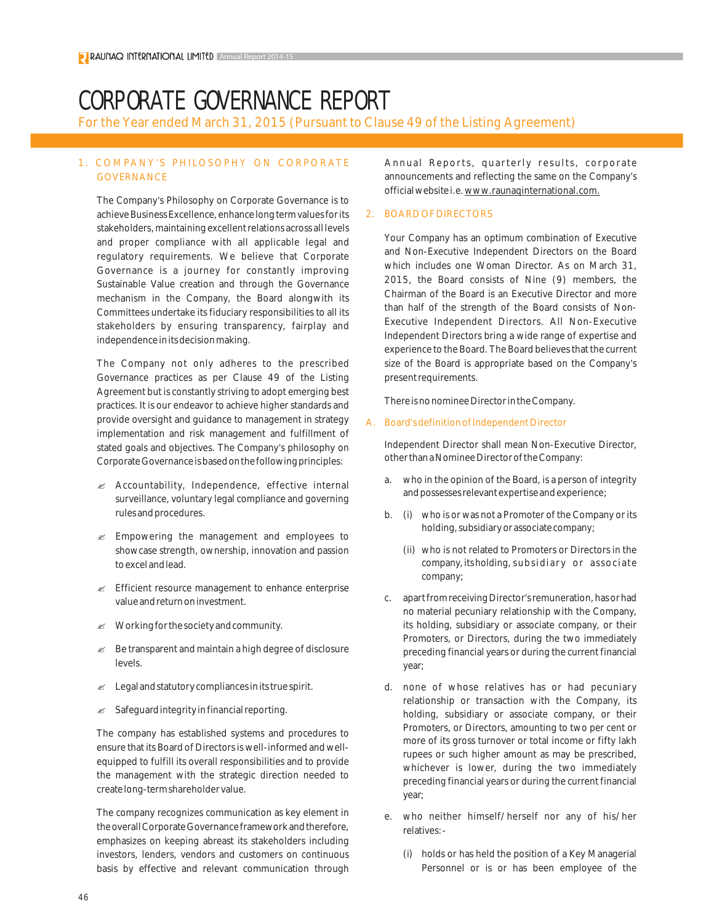# CORPORATE GOVERNANCE REPORT

For the Year ended March 31, 2015 (Pursuant to Clause 49 of the Listing Agreement)

## 1. COMPANY'S PHILOSOPHY ON CORPOR ATE **GOVERNANCE**

The Company's Philosophy on Corporate Governance is to achieve Business Excellence, enhance long term values for its stakeholders, maintaining excellent relations across all levels and proper compliance with all applicable legal and regulatory requirements. We believe that Corporate Governance is a journey for constantly improving Sustainable Value creation and through the Governance mechanism in the Company, the Board alongwith its Committees undertake its fiduciary responsibilities to all its stakeholders by ensuring transparency, fairplay and independence in its decision making.

The Company not only adheres to the prescribed Governance practices as per Clause 49 of the Listing Agreement but is constantly striving to adopt emerging best practices. It is our endeavor to achieve higher standards and provide oversight and guidance to management in strategy implementation and risk management and fulfillment of stated goals and objectives. The Company's philosophy on Corporate Governance is based on the following principles:

- $\mathscr{A}$  Accountability, Independence, effective internal surveillance, voluntary legal compliance and governing rules and procedures.
- $\mathscr{\mathscr{L}}$  Empowering the management and employees to showcase strength, ownership, innovation and passion to excel and lead.
- $\mathcal{L}$  Efficient resource management to enhance enterprise value and return on investment.
- $\mathscr{\mathscr{A}}$  Working for the society and community.
- $\mathscr{L}$  Be transparent and maintain a high degree of disclosure levels.
- $\mathscr{L}$  Legal and statutory compliances in its true spirit.
- $\mathscr{\mathscr{A}}$  Safeguard integrity in financial reporting.

The company has established systems and procedures to ensure that its Board of Directors is well-informed and wellequipped to fulfill its overall responsibilities and to provide the management with the strategic direction needed to create long-term shareholder value.

The company recognizes communication as key element in the overall Corporate Governance framework and therefore, emphasizes on keeping abreast its stakeholders including investors, lenders, vendors and customers on continuous basis by effective and relevant communication through Annual Reports, quarterly results, corporate announcements and reflecting the same on the Company's official website i.e. www.raunaqinternational.com.

## 2. BOARD OF DIRECTORS

Your Company has an optimum combination of Executive and Non-Executive Independent Directors on the Board which includes one Woman Director. As on March 31, 2015, the Board consists of Nine (9) members, the Chairman of the Board is an Executive Director and more than half of the strength of the Board consists of Non-Executive Independent Directors. All Non-Executive Independent Directors bring a wide range of expertise and experience to the Board. The Board believes that the current size of the Board is appropriate based on the Company's present requirements.

There is no nominee Director in the Company.

#### A. Board's definition of Independent Director

Independent Director shall mean Non-Executive Director, other than a Nominee Director of the Company:

- a. who in the opinion of the Board, is a person of integrity and possesses relevant expertise and experience;
- b. (i) who is or was not a Promoter of the Company or its holding, subsidiary or associate company;
	- (ii) who is not related to Promoters or Directors in the company, its holding, subsidiary or associate company;
- c. apart from receiving Director's remuneration, has or had no material pecuniary relationship with the Company, its holding, subsidiary or associate company, or their Promoters, or Directors, during the two immediately preceding financial years or during the current financial year;
- d. none of whose relatives has or had pecuniary relationship or transaction with the Company, its holding, subsidiary or associate company, or their Promoters, or Directors, amounting to two per cent or more of its gross turnover or total income or fifty lakh rupees or such higher amount as may be prescribed, whichever is lower, during the two immediately preceding financial years or during the current financial year;
- e. who neither himself/herself nor any of his/her relatives:-
	- (i) holds or has held the position of a Key Managerial Personnel or is or has been employee of the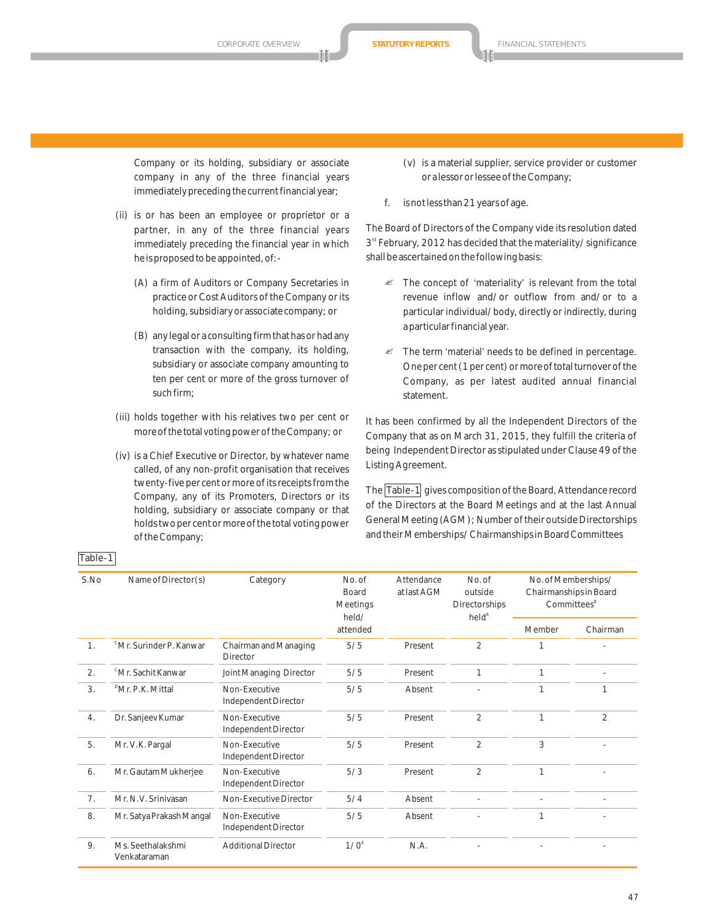Company or its holding, subsidiary or associate company in any of the three financial years immediately preceding the current financial year;

- (ii) is or has been an employee or proprietor or a partner, in any of the three financial years immediately preceding the financial year in which he is proposed to be appointed, of:-
	- (A) a firm of Auditors or Company Secretaries in practice or Cost Auditors of the Company or its holding, subsidiary or associate company; or
	- (B) any legal or a consulting firm that has or had any transaction with the company, its holding, subsidiary or associate company amounting to ten per cent or more of the gross turnover of such firm;
- (iii) holds together with his relatives two per cent or more of the total voting power of the Company; or
- (iv) is a Chief Executive or Director, by whatever name called, of any non-profit organisation that receives twenty-five per cent or more of its receipts from the Company, any of its Promoters, Directors or its holding, subsidiary or associate company or that holds two per cent or more of the total voting power of the Company;
- (v) is a material supplier, service provider or customer or a lessor or lessee of the Company;
- f. is not less than 21 years of age.

The Board of Directors of the Company vide its resolution dated 3<sup>rd</sup> February, 2012 has decided that the materiality/significance shall be ascertained on the following basis:

- $\mathscr{A}$  The concept of 'materiality' is relevant from the total revenue inflow and/or outflow from and/or to a particular individual/body, directly or indirectly, during a particular financial year.
- The term 'material' needs to be defined in percentage. One per cent (1 per cent) or more of total turnover of the Company, as per latest audited annual financial statement.

It has been confirmed by all the Independent Directors of the Company that as on March 31, 2015, they fulfill the criteria of being Independent Director as stipulated under Clause 49 of the Listing Agreement.

The Table-1 gives composition of the Board, Attendance record of the Directors at the Board Meetings and at the last Annual General Meeting (AGM); Number of their outside Directorships and their Memberships/Chairmanships in Board Committees

| S.No | Name of Director(s)                 | Category                                 | No. of<br><b>Board</b><br><b>Meetings</b><br>held/ | Attendance<br>at last AGM | No. of<br>outside<br>Directorships<br>held <sup>A</sup> | No. of Memberships/<br>Chairmanships in Board<br>Committees <sup>B</sup> |                |
|------|-------------------------------------|------------------------------------------|----------------------------------------------------|---------------------------|---------------------------------------------------------|--------------------------------------------------------------------------|----------------|
|      |                                     |                                          | attended                                           |                           |                                                         | Member                                                                   | Chairman       |
| 1.   | <sup>c</sup> Mr. Surinder P. Kanwar | Chairman and Managing<br><b>Director</b> | 5/5                                                | Present                   | $\overline{2}$                                          |                                                                          |                |
| 2.   | <sup>c</sup> Mr. Sachit Kanwar      | Joint Managing Director                  | 5/5                                                | Present                   | 1                                                       | 1                                                                        |                |
| 3.   | <sup>D</sup> Mr. P.K. Mittal        | Non-Executive<br>Independent Director    | 5/5                                                | Absent                    |                                                         | 1                                                                        | 1              |
| 4.   | Dr. Sanjeev Kumar                   | Non-Executive<br>Independent Director    | 5/5                                                | Present                   | $\overline{2}$                                          | 1                                                                        | $\overline{2}$ |
| 5.   | Mr. V.K. Pargal                     | Non-Executive<br>Independent Director    | 5/5                                                | Present                   | $\overline{2}$                                          | 3                                                                        |                |
| 6.   | Mr. Gautam Mukherjee                | Non-Executive<br>Independent Director    | 5/3                                                | Present                   | $\overline{2}$                                          | 1                                                                        |                |
| 7.   | Mr. N.V. Srinivasan                 | Non-Executive Director                   | 5/4                                                | Absent                    |                                                         |                                                                          |                |
| 8.   | Mr. Satya Prakash Mangal            | Non-Executive<br>Independent Director    | 5/5                                                | Absent                    |                                                         | 1                                                                        |                |
| 9.   | Ms. Seethalakshmi<br>Venkataraman   | <b>Additional Director</b>               | 1/0 <sup>E</sup>                                   | N.A.                      |                                                         |                                                                          |                |

# Table-1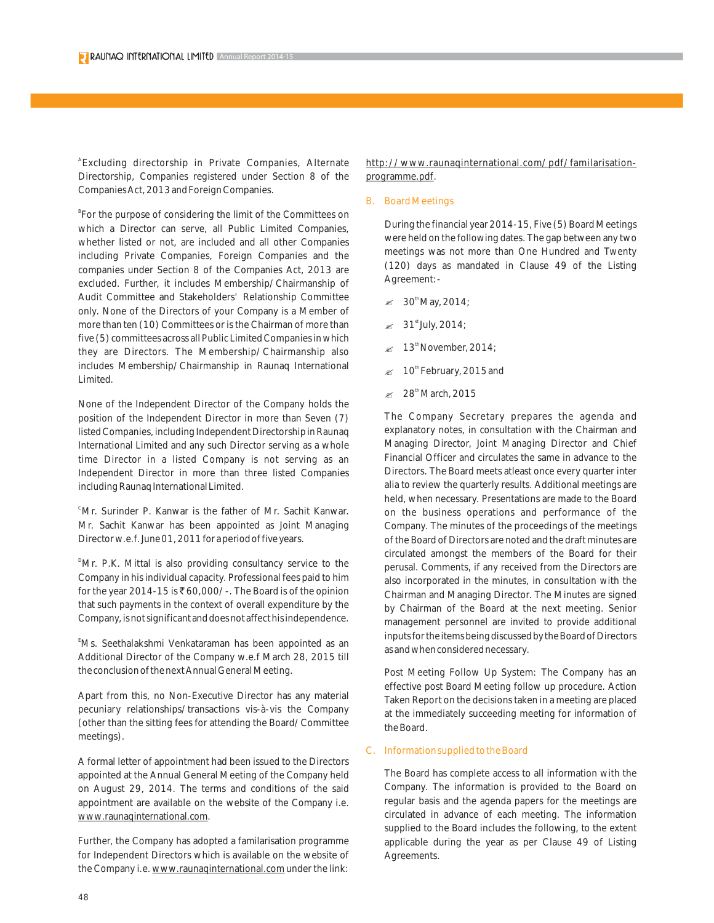A Excluding directorship in Private Companies, Alternate Directorship, Companies registered under Section 8 of the Companies Act, 2013 and Foreign Companies.

<sup>B</sup>For the purpose of considering the limit of the Committees on which a Director can serve, all Public Limited Companies, whether listed or not, are included and all other Companies including Private Companies, Foreign Companies and the companies under Section 8 of the Companies Act, 2013 are excluded. Further, it includes Membership/Chairmanship of Audit Committee and Stakeholders' Relationship Committee only. None of the Directors of your Company is a Member of more than ten (10) Committees or is the Chairman of more than five (5) committees across all Public Limited Companies in which they are Directors. The Membership/Chairmanship also includes Membership/Chairmanship in Raunaq International Limited.

None of the Independent Director of the Company holds the position of the Independent Director in more than Seven (7) listed Companies, including Independent Directorship in Raunaq International Limited and any such Director serving as a whole time Director in a listed Company is not serving as an Independent Director in more than three listed Companies including Raunaq International Limited.

<sup>c</sup>Mr. Surinder P. Kanwar is the father of Mr. Sachit Kanwar. Mr. Sachit Kanwar has been appointed as Joint Managing Director w.e.f. June 01, 2011 for a period of five years.

<sup>D</sup>Mr. P.K. Mittal is also providing consultancy service to the Company in his individual capacity. Professional fees paid to him for the year 2014-15 is  $\bar{\tau}$  60,000/-. The Board is of the opinion that such payments in the context of overall expenditure by the Company, is not significant and does not affect his independence.

E Ms. Seethalakshmi Venkataraman has been appointed as an Additional Director of the Company w.e.f March 28, 2015 till the conclusion of the next Annual General Meeting.

Apart from this, no Non-Executive Director has any material pecuniary relationships/transactions vis-à-vis the Company (other than the sitting fees for attending the Board/Committee meetings).

A formal letter of appointment had been issued to the Directors appointed at the Annual General Meeting of the Company held on August 29, 2014. The terms and conditions of the said appointment are available on the website of the Company i.e. www.raunaqinternational.com.

Further, the Company has adopted a familarisation programme for Independent Directors which is available on the website of the Company i.e. www.raunaqinternational.com under the link: http://www.raunaqinternational.com/pdf/familarisationprogramme.pdf.

B. Board Meetings

During the financial year 2014-15, Five (5) Board Meetings were held on the following dates. The gap between any two meetings was not more than One Hundred and Twenty (120) days as mandated in Clause 49 of the Listing Agreement:-

- $\approx 30$ <sup>th</sup>May, 2014;
- $\approx 31<sup>st</sup>$  July, 2014;
- $\approx$  13<sup>th</sup> November, 2014;
- $\approx$  10<sup>th</sup> February, 2015 and
- $\approx 28^{\text{th}}$ March, 2015

The Company Secretary prepares the agenda and explanatory notes, in consultation with the Chairman and Managing Director, Joint Managing Director and Chief Financial Officer and circulates the same in advance to the Directors. The Board meets atleast once every quarter inter alia to review the quarterly results. Additional meetings are held, when necessary. Presentations are made to the Board on the business operations and performance of the Company. The minutes of the proceedings of the meetings of the Board of Directors are noted and the draft minutes are circulated amongst the members of the Board for their perusal. Comments, if any received from the Directors are also incorporated in the minutes, in consultation with the Chairman and Managing Director. The Minutes are signed by Chairman of the Board at the next meeting. Senior management personnel are invited to provide additional inputs for the items being discussed by the Board of Directors as and when considered necessary.

Post Meeting Follow Up System: The Company has an effective post Board Meeting follow up procedure. Action Taken Report on the decisions taken in a meeting are placed at the immediately succeeding meeting for information of the Board.

## C. Information supplied to the Board

The Board has complete access to all information with the Company. The information is provided to the Board on regular basis and the agenda papers for the meetings are circulated in advance of each meeting. The information supplied to the Board includes the following, to the extent applicable during the year as per Clause 49 of Listing Agreements.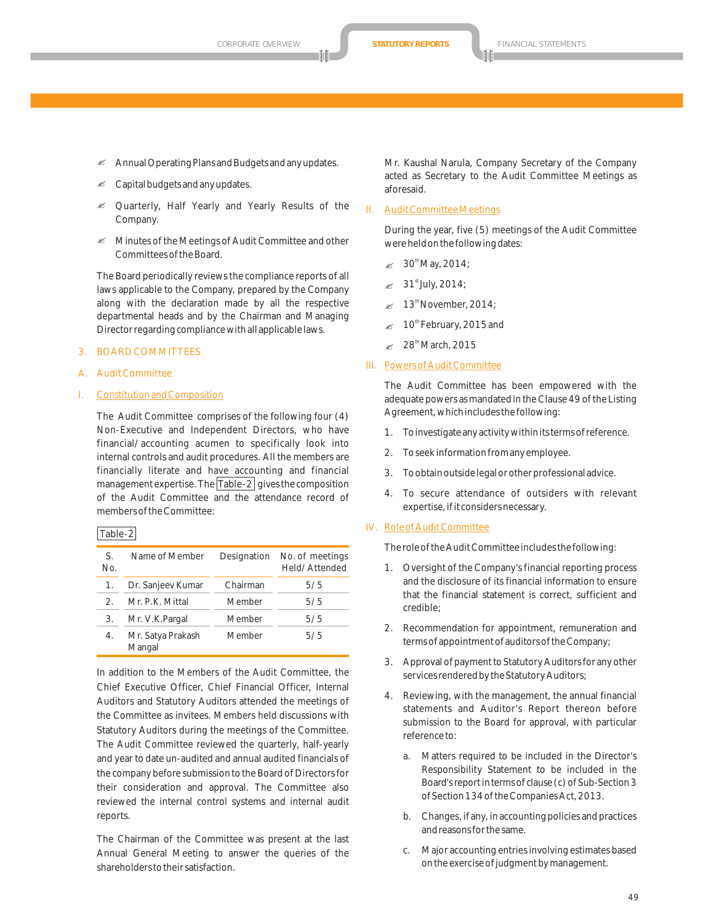- Annual Operating Plans and Budgets and any updates.
- $\mathscr{\mathscr{A}}$  Capital budgets and any updates.
- Quarterly, Half Yearly and Yearly Results of the Company.
- $\mathscr{A}$  Minutes of the Meetings of Audit Committee and other Committees of the Board.

The Board periodically reviews the compliance reports of all laws applicable to the Company, prepared by the Company along with the declaration made by all the respective departmental heads and by the Chairman and Managing Director regarding compliance with all applicable laws.

#### 3. BOARD COMMITTEES

A. Audit Committee

#### I. Constitution and Composition

The Audit Committee comprises of the following four (4) Non-Executive and Independent Directors, who have financial/accounting acumen to specifically look into internal controls and audit procedures. All the members are financially literate and have accounting and financial management expertise. The  $\vert$ Table-2 gives the composition of the Audit Committee and the attendance record of members of the Committee:

|--|

| S.<br>No. | Name of Member              | Designation | No. of meetings<br>Held/Attended |
|-----------|-----------------------------|-------------|----------------------------------|
| 1.        | Dr. Sanjeev Kumar           | Chairman    | 5/5                              |
| $2_{1}$   | Mr. P.K. Mittal             | Member      | 5/5                              |
| 3.        | Mr. V.K.Pargal              | Member      | 5/5                              |
| 4.        | Mr. Satya Prakash<br>Mangal | Member      | 5/5                              |

In addition to the Members of the Audit Committee, the Chief Executive Officer, Chief Financial Officer, Internal Auditors and Statutory Auditors attended the meetings of the Committee as invitees. Members held discussions with Statutory Auditors during the meetings of the Committee. The Audit Committee reviewed the quarterly, half-yearly and year to date un-audited and annual audited financials of the company before submission to the Board of Directors for their consideration and approval. The Committee also reviewed the internal control systems and internal audit reports.

The Chairman of the Committee was present at the last Annual General Meeting to answer the queries of the shareholders to their satisfaction.

Mr. Kaushal Narula, Company Secretary of the Company acted as Secretary to the Audit Committee Meetings as aforesaid.

#### II. Audit Committee Meetings

During the year, five (5) meetings of the Audit Committee were held on the following dates:

- $\approx 30^{\text{th}}$ May, 2014;
- $\approx 31^{\text{st}}$ July, 2014;
- $\approx$  13<sup>th</sup> November, 2014;
- $\approx$  10<sup>th</sup> February, 2015 and
- $\approx 28^{\text{th}}$ March, 2015
- III. Powers of Audit Committee

The Audit Committee has been empowered with the adequate powers as mandated in the Clause 49 of the Listing Agreement, which includes the following:

- 1. To investigate any activity within its terms of reference.
- 2. To seek information from any employee.
- 3. To obtain outside legal or other professional advice.
- 4. To secure attendance of outsiders with relevant expertise, if it considers necessary.

#### IV. Role of Audit Committee

The role of the Audit Committee includes the following:

- 1. Oversight of the Company's financial reporting process and the disclosure of its financial information to ensure that the financial statement is correct, sufficient and credible;
- 2. Recommendation for appointment, remuneration and terms of appointment of auditors of the Company;
- 3. Approval of payment to Statutory Auditors for any other services rendered by the Statutory Auditors;
- 4. Reviewing, with the management, the annual financial statements and Auditor's Report thereon before submission to the Board for approval, with particular reference to:
	- a. Matters required to be included in the Director's Responsibility Statement to be included in the Board's report in terms of clause (c) of Sub-Section 3 of Section 134 of the Companies Act, 2013.
	- b. Changes, if any, in accounting policies and practices and reasons for the same.
	- c. Major accounting entries involving estimates based on the exercise of judgment by management.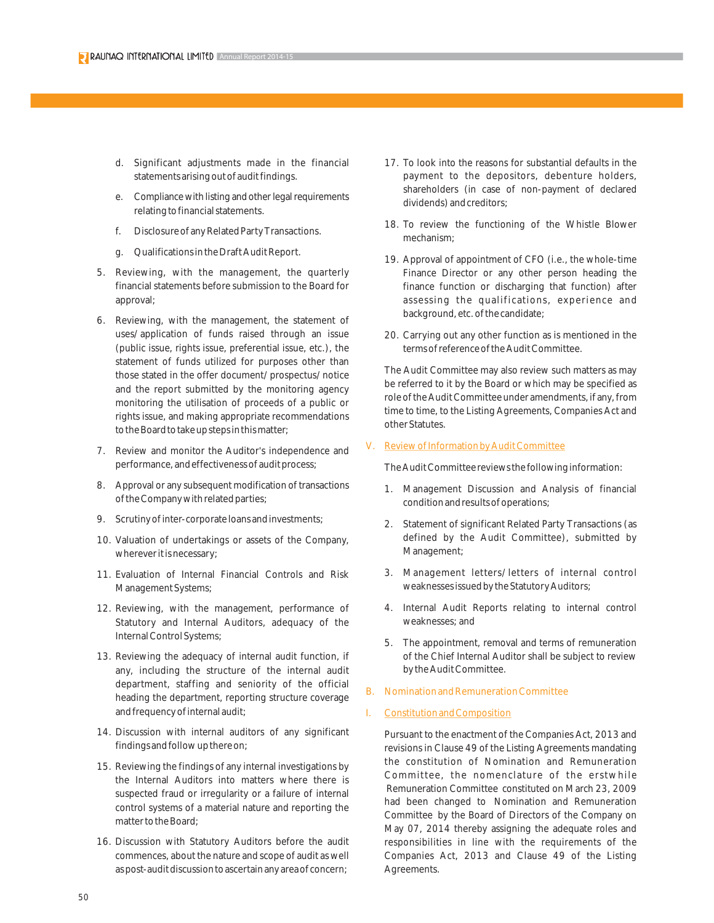- d. Significant adjustments made in the financial statements arising out of audit findings.
- e. Compliance with listing and other legal requirements relating to financial statements.
- f. Disclosure of any Related Party Transactions.
- g. Qualifications in the Draft Audit Report.
- 5. Reviewing, with the management, the quarterly financial statements before submission to the Board for approval;
- 6. Reviewing, with the management, the statement of uses/application of funds raised through an issue (public issue, rights issue, preferential issue, etc.), the statement of funds utilized for purposes other than those stated in the offer document/prospectus/notice and the report submitted by the monitoring agency monitoring the utilisation of proceeds of a public or rights issue, and making appropriate recommendations to the Board to take up steps in this matter;
- 7. Review and monitor the Auditor's independence and performance, and effectiveness of audit process;
- 8. Approval or any subsequent modification of transactions of the Company with related parties;
- 9. Scrutiny of inter-corporate loans and investments;
- 10. Valuation of undertakings or assets of the Company, wherever it is necessary;
- 11. Evaluation of Internal Financial Controls and Risk Management Systems;
- 12. Reviewing, with the management, performance of Statutory and Internal Auditors, adequacy of the Internal Control Systems;
- 13. Reviewing the adequacy of internal audit function, if any, including the structure of the internal audit department, staffing and seniority of the official heading the department, reporting structure coverage and frequency of internal audit;
- 14. Discussion with internal auditors of any significant findings and follow up there on;
- 15. Reviewing the findings of any internal investigations by the Internal Auditors into matters where there is suspected fraud or irregularity or a failure of internal control systems of a material nature and reporting the matter to the Board;
- 16. Discussion with Statutory Auditors before the audit commences, about the nature and scope of audit as well as post-audit discussion to ascertain any area of concern;
- 17. To look into the reasons for substantial defaults in the payment to the depositors, debenture holders, shareholders (in case of non-payment of declared dividends) and creditors;
- 18. To review the functioning of the Whistle Blower mechanism;
- 19. Approval of appointment of CFO (i.e., the whole-time Finance Director or any other person heading the finance function or discharging that function) after assessing the qualifications, experience and background, etc. of the candidate;
- 20. Carrying out any other function as is mentioned in the terms of reference of the Audit Committee.

The Audit Committee may also review such matters as may be referred to it by the Board or which may be specified as role of the Audit Committee under amendments, if any, from time to time, to the Listing Agreements, Companies Act and other Statutes.

#### V. Review of Information by Audit Committee

The Audit Committee reviews the following information:

- 1. Management Discussion and Analysis of financial condition and results of operations;
- 2. Statement of significant Related Party Transactions (as defined by the Audit Committee), submitted by Management;
- 3. Management letters/letters of internal control weaknesses issued by the Statutory Auditors;
- 4. Internal Audit Reports relating to internal control weaknesses; and
- 5. The appointment, removal and terms of remuneration of the Chief Internal Auditor shall be subject to review by the Audit Committee.
- B. Nomination and Remuneration Committee

#### Constitution and Composition

Pursuant to the enactment of the Companies Act, 2013 and revisions in Clause 49 of the Listing Agreements mandating the constitution of Nomination and Remuneration Committee, the nomenclature of the erstwhile Remuneration Committee constituted on March 23, 2009 had been changed to Nomination and Remuneration Committee by the Board of Directors of the Company on May 07, 2014 thereby assigning the adequate roles and responsibilities in line with the requirements of the Companies Act, 2013 and Clause 49 of the Listing Agreements.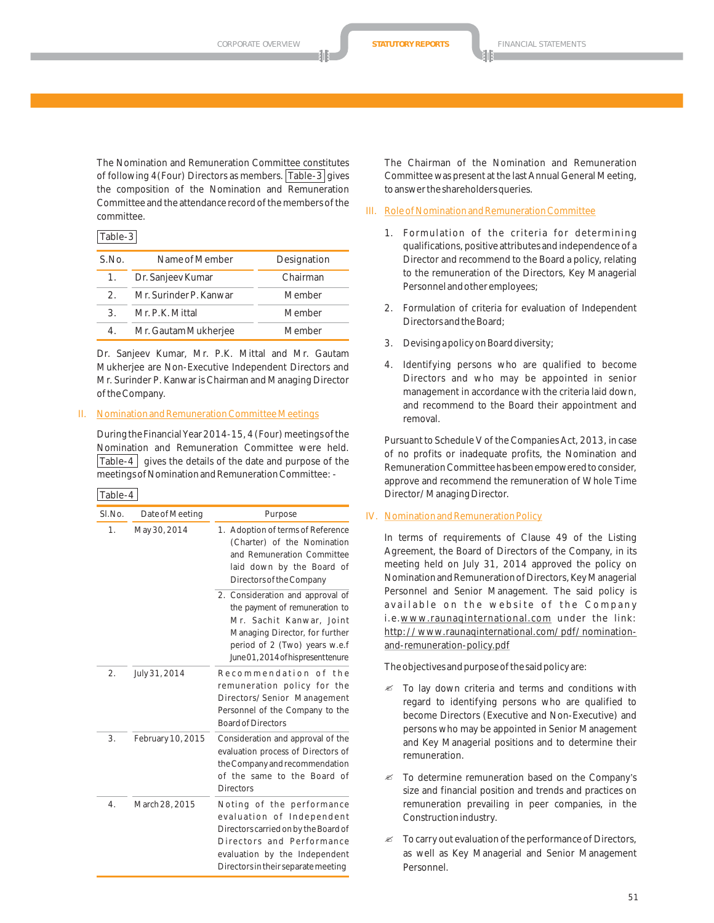The Nomination and Remuneration Committee constitutes of following 4(Four) Directors as members. Table-3 gives the composition of the Nomination and Remuneration Committee and the attendance record of the members of the committee.

#### Table-3

| S.No.         | Name of Member         | Designation |
|---------------|------------------------|-------------|
| 1.            | Dr. Sanjeev Kumar      | Chairman    |
| $\mathcal{P}$ | Mr. Surinder P. Kanwar | Member      |
| 3             | Mr. P.K. Mittal        | Member      |
|               | Mr. Gautam Mukherjee   | Member      |

Dr. Sanjeev Kumar, Mr. P.K. Mittal and Mr. Gautam Mukherjee are Non-Executive Independent Directors and Mr. Surinder P. Kanwar is Chairman and Managing Director of the Company.

#### II. Nomination and Remuneration Committee Meetings

During the Financial Year 2014-15, 4 (Four) meetings of the Nomination and Remuneration Committee were held. Table-4  $\vert$  gives the details of the date and purpose of the meetings of Nomination and Remuneration Committee: -

#### Table-4

| SI.No.         | Date of Meeting   | Purpose                                                                                                                                                                                                  |
|----------------|-------------------|----------------------------------------------------------------------------------------------------------------------------------------------------------------------------------------------------------|
| $\mathbf{1}$ . | May 30, 2014      | 1. Adoption of terms of Reference<br>(Charter) of the Nomination<br>and Remuneration Committee<br>laid down by the Board of<br>Directors of the Company                                                  |
|                |                   | 2. Consideration and approval of<br>the payment of remuneration to<br>Mr. Sachit Kanwar, Joint<br>Managing Director, for further<br>period of 2 (Two) years w.e.f<br>June 01, 2014 of his present tenure |
| 2.             | July 31, 2014     | Recommendation of the<br>remuneration policy for the<br>Directors/Senior Management<br>Personnel of the Company to the<br><b>Board of Directors</b>                                                      |
| 3.             | February 10, 2015 | Consideration and approval of the<br>evaluation process of Directors of<br>the Company and recommendation<br>of the same to the Board of<br><b>Directors</b>                                             |
| 4.             | March 28, 2015    | Noting of the performance<br>evaluation of Independent<br>Directors carried on by the Board of<br>Directors and Performance<br>evaluation by the Independent<br>Directors in their separate meeting      |

The Chairman of the Nomination and Remuneration Committee was present at the last Annual General Meeting, to answer the shareholders queries.

## III. Role of Nomination and Remuneration Committee

- 1. Formulation of the criteria for determining qualifications, positive attributes and independence of a Director and recommend to the Board a policy, relating to the remuneration of the Directors, Key Managerial Personnel and other employees;
- 2. Formulation of criteria for evaluation of Independent Directors and the Board;
- 3. Devising a policy on Board diversity;
- 4. Identifying persons who are qualified to become Directors and who may be appointed in senior management in accordance with the criteria laid down, and recommend to the Board their appointment and removal.

Pursuant to Schedule V of the Companies Act, 2013, in case of no profits or inadequate profits, the Nomination and Remuneration Committee has been empowered to consider, approve and recommend the remuneration of Whole Time Director/Managing Director.

#### IV. Nomination and Remuneration Policy

In terms of requirements of Clause 49 of the Listing Agreement, the Board of Directors of the Company, in its meeting held on July 31, 2014 approved the policy on Nomination and Remuneration of Directors, Key Managerial Personnel and Senior Management. The said policy is available on the website of the Company i.e.www.raunaqinternational.com under the link: http://www.raunaqinternational.com/pdf/nominationand-remuneration-policy.pdf

The objectives and purpose of the said policy are:

- $\mathscr Z$  To lay down criteria and terms and conditions with regard to identifying persons who are qualified to become Directors (Executive and Non-Executive) and persons who may be appointed in Senior Management and Key Managerial positions and to determine their remuneration.
- $\mathscr{\mathscr{E}}$  To determine remuneration based on the Company's size and financial position and trends and practices on remuneration prevailing in peer companies, in the Construction industry.
- $\mathscr Z$  To carry out evaluation of the performance of Directors, as well as Key Managerial and Senior Management Personnel.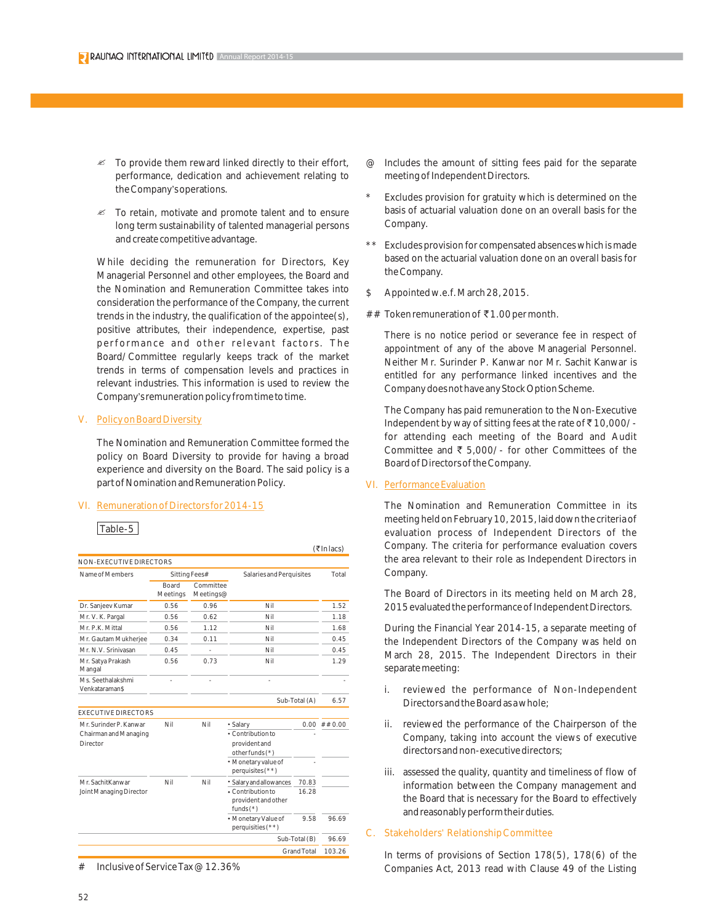- $\mathscr{\mathscr{E}}$  To provide them reward linked directly to their effort, performance, dedication and achievement relating to the Company's operations.
- $\mathscr Z$  To retain, motivate and promote talent and to ensure long term sustainability of talented managerial persons and create competitive advantage.

While deciding the remuneration for Directors, Key Managerial Personnel and other employees, the Board and the Nomination and Remuneration Committee takes into consideration the performance of the Company, the current trends in the industry, the qualification of the appointee(s), positive attributes, their independence, expertise, past performance and other relevant factors. The Board/Committee regularly keeps track of the market trends in terms of compensation levels and practices in relevant industries. This information is used to review the Company's remuneration policy from time to time.

#### V. Policy on Board Diversity

The Nomination and Remuneration Committee formed the policy on Board Diversity to provide for having a broad experience and diversity on the Board. The said policy is a part of Nomination and Remuneration Policy.

#### VI. Remuneration of Directors for 2014-15

| NON-EXECUTIVE DIRECTORS             |                          |                        |                                                         |                    |        |
|-------------------------------------|--------------------------|------------------------|---------------------------------------------------------|--------------------|--------|
| Name of Members                     |                          | Sitting Fees#          | Salaries and Perquisites                                |                    | Total  |
|                                     | <b>Board</b><br>Meetings | Committee<br>Meetings@ |                                                         |                    |        |
| Dr. Sanjeev Kumar                   | 0.56                     | 0.96                   | Nil                                                     |                    | 1.52   |
| Mr. V. K. Pargal                    | 0.56                     | 0.62                   | Nil                                                     |                    | 1.18   |
| Mr. P.K. Mittal                     | 0.56                     | 1.12                   | Nil                                                     |                    | 1.68   |
| Mr. Gautam Mukherjee                | 0.34                     | 0.11                   | Nil                                                     |                    | 0.45   |
| Mr. N.V. Sriniyasan                 | 0.45                     |                        | Nil                                                     |                    | 0.45   |
| Mr. Satya Prakash<br>Mangal         | 0.56                     | 0.73                   | Nil                                                     |                    | 1.29   |
| Ms. Seethalakshmi<br>Venkataraman\$ |                          |                        |                                                         |                    |        |
|                                     |                          |                        |                                                         | Sub-Total (A)      | 6.57   |
| <b>EXECUTIVE DIRECTORS</b>          |                          |                        |                                                         |                    |        |
| Mr. Surinder P. Kanwar              | Nil                      | Nil                    | • Salary                                                | $0.00 -$           | ##0.00 |
| Chairman and Managing<br>Director   |                          |                        | Contribution to<br>provident and<br>other funds (*)     |                    |        |
|                                     |                          |                        | · Monetary value of<br>perquisites $(**)$               |                    |        |
| Mr. SachitKanwar                    | Nil                      | Nil                    | * Salary and allowances                                 | 70.83              |        |
| Joint Managing Director             |                          |                        | • Contribution to<br>provident and other<br>funds $(*)$ | 16.28              |        |
|                                     |                          |                        | · Monetary Value of<br>perquisities (**)                | 9.58               | 96.69  |
|                                     |                          |                        |                                                         | Sub-Total (B)      | 96.69  |
|                                     |                          |                        |                                                         | <b>Grand Total</b> | 103.26 |

# Inclusive of Service Tax @ 12.36%

- @ Includes the amount of sitting fees paid for the separate meeting of Independent Directors.
- Excludes provision for gratuity which is determined on the basis of actuarial valuation done on an overall basis for the Company.
- \*\* Excludes provision for compensated absences which is made based on the actuarial valuation done on an overall basis for the Company.
- \$ Appointed w.e.f. March 28, 2015.
- ## Token remuneration of  $\bar{\tau}$ 1.00 per month.

There is no notice period or severance fee in respect of appointment of any of the above Managerial Personnel. Neither Mr. Surinder P. Kanwar nor Mr. Sachit Kanwar is entitled for any performance linked incentives and the Company does not have any Stock Option Scheme.

The Company has paid remuneration to the Non-Executive Independent by way of sitting fees at the rate of  $\overline{\mathfrak{c}}$  10,000/for attending each meeting of the Board and Audit Committee and  $\overline{\xi}$  5,000/- for other Committees of the Board of Directors of the Company.

#### VI. Performance Evaluation

 $(\overline{\tau}$ In lacs)

The Nomination and Remuneration Committee in its meeting held on February 10, 2015, laid down the criteria of evaluation process of Independent Directors of the Company. The criteria for performance evaluation covers the area relevant to their role as Independent Directors in Company.

The Board of Directors in its meeting held on March 28, 2015 evaluated the performance of Independent Directors.

During the Financial Year 2014-15, a separate meeting of the Independent Directors of the Company was held on March 28, 2015. The Independent Directors in their separate meeting:

- i. reviewed the performance of Non-Independent Directors and the Board as a whole;
- ii. reviewed the performance of the Chairperson of the Company, taking into account the views of executive directors and non-executive directors;
- iii. assessed the quality, quantity and timeliness of flow of information between the Company management and the Board that is necessary for the Board to effectively and reasonably perform their duties.

#### C. Stakeholders' Relationship Committee

In terms of provisions of Section 178(5), 178(6) of the Companies Act, 2013 read with Clause 49 of the Listing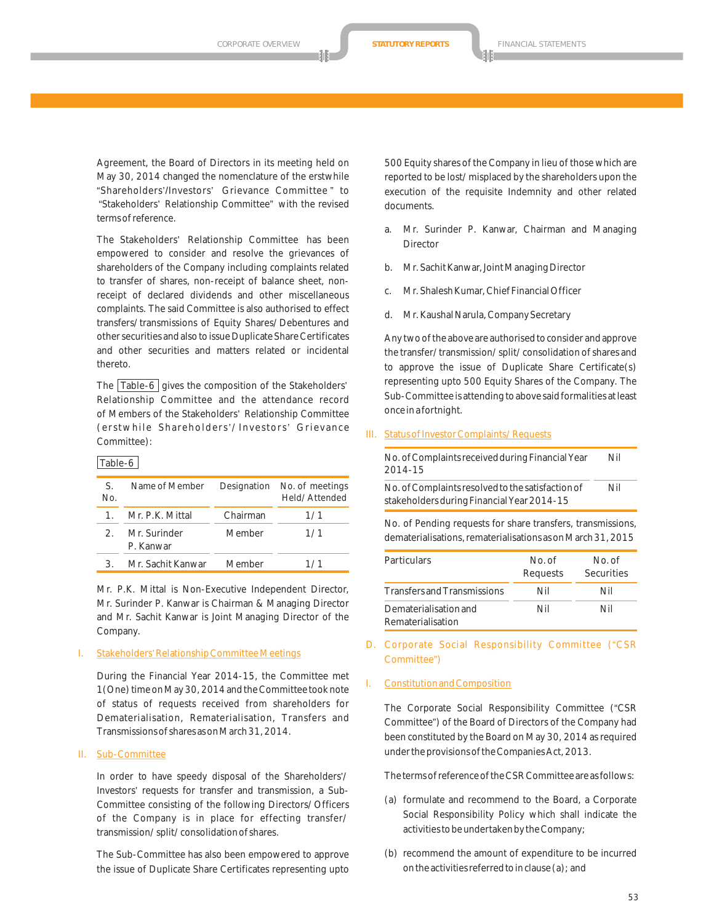Agreement, the Board of Directors in its meeting held on May 30, 2014 changed the nomenclature of the erstwhile "Shareholders'/Investors' Grievance Committee " to "Stakeholders' Relationship Committee" with the revised terms of reference.

The Stakeholders' Relationship Committee has been empowered to consider and resolve the grievances of shareholders of the Company including complaints related to transfer of shares, non-receipt of balance sheet, nonreceipt of declared dividends and other miscellaneous complaints. The said Committee is also authorised to effect transfers/transmissions of Equity Shares/Debentures and other securities and also to issue Duplicate Share Certificates and other securities and matters related or incidental thereto.

The  $Table-6$  gives the composition of the Stakeholders' Relationship Committee and the attendance record of Members of the Stakeholders' Relationship Committee (erstwhile Shareholders'/Investors' Grievance Committee):

## Table-6

| S.<br>No.     | Name of Member            | Designation | No. of meetings<br>Held/Attended |
|---------------|---------------------------|-------------|----------------------------------|
|               | Mr. P.K. Mittal           | Chairman    | 1/1                              |
| $\mathcal{P}$ | Mr. Surinder<br>P. Kanwar | Member      | 1/1                              |
|               | Mr. Sachit Kanwar         | Member      | 1/1                              |

Mr. P.K. Mittal is Non-Executive Independent Director, Mr. Surinder P. Kanwar is Chairman & Managing Director and Mr. Sachit Kanwar is Joint Managing Director of the Company.

#### I. Stakeholders' Relationship Committee Meetings

During the Financial Year 2014-15, the Committee met 1(One) time on May 30, 2014 and the Committee took note of status of requests received from shareholders for Dematerialisation, Rematerialisation, Transfers and Transmissions of shares as on March 31, 2014.

#### II. Sub-Committee

In order to have speedy disposal of the Shareholders'/ Investors' requests for transfer and transmission, a Sub-Committee consisting of the following Directors/Officers of the Company is in place for effecting transfer/ transmission/split/consolidation of shares.

The Sub-Committee has also been empowered to approve the issue of Duplicate Share Certificates representing upto 500 Equity shares of the Company in lieu of those which are reported to be lost/misplaced by the shareholders upon the execution of the requisite Indemnity and other related documents.

- a. Mr. Surinder P. Kanwar, Chairman and Managing Director
- b. Mr. Sachit Kanwar, Joint Managing Director
- c. Mr. Shalesh Kumar, Chief Financial Officer
- d. Mr. Kaushal Narula, Company Secretary

Any two of the above are authorised to consider and approve the transfer/transmission/split/consolidation of shares and to approve the issue of Duplicate Share Certificate(s) representing upto 500 Equity Shares of the Company. The Sub-Committee is attending to above said formalities at least once in a fortnight.

#### III. Status of Investor Complaints/Requests

| No. of Complaints received during Financial Year<br>2014-15 | Nil |
|-------------------------------------------------------------|-----|
| No. of Complaints resolved to the satisfaction of           | Nil |
| stakeholders during Financial Year 2014-15                  |     |

No. of Pending requests for share transfers, transmissions, dematerialisations, rematerialisations as on March 31, 2015

| <b>Particulars</b>                         | No of<br>Requests | No. of<br>Securities |  |
|--------------------------------------------|-------------------|----------------------|--|
| <b>Transfers and Transmissions</b>         | Nil               | Nil                  |  |
| Dematerialisation and<br>Rematerialisation | Nil               | Nil                  |  |

D. Corporate Social Responsibility Committee ("CSR Committee")

#### I. Constitution and Composition

The Corporate Social Responsibility Committee ("CSR Committee") of the Board of Directors of the Company had been constituted by the Board on May 30, 2014 as required under the provisions of the Companies Act, 2013.

The terms of reference of the CSR Committee are as follows:

- (a) formulate and recommend to the Board, a Corporate Social Responsibility Policy which shall indicate the activities to be undertaken by the Company;
- (b) recommend the amount of expenditure to be incurred on the activities referred to in clause (a); and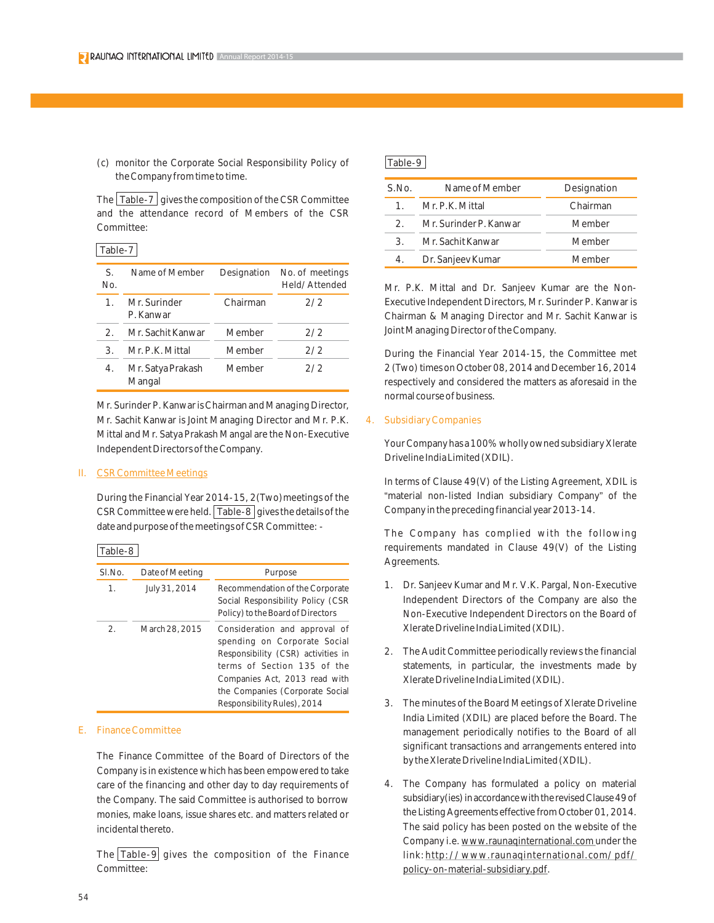(c) monitor the Corporate Social Responsibility Policy of the Company from time to time.

The  $\vert$  Table-7 gives the composition of the CSR Committee and the attendance record of Members of the CSR Committee:

## Table-7

| S.<br>No.     | Name of Member              | Designation | No. of meetings<br>Held/Attended |
|---------------|-----------------------------|-------------|----------------------------------|
| $\mathbf 1$ . | Mr. Surinder<br>P. Kanwar   | Chairman    | 2/2                              |
| 2.            | Mr. Sachit Kanwar           | Member      | 2/2                              |
| 3.            | Mr. P.K. Mittal             | Member      | 2/2                              |
| 4.            | Mr. Satya Prakash<br>Mangal | Member      | 2/2                              |

Mr. Surinder P. Kanwar is Chairman and Managing Director, Mr. Sachit Kanwar is Joint Managing Director and Mr. P.K. Mittal and Mr. Satya Prakash Mangal are the Non-Executive Independent Directors of the Company.

#### II. CSR Committee Meetings

During the Financial Year 2014-15, 2(Two)meetings of the CSR Committee were held.  $\sqrt{T_{\text{able}}-8}$  gives the details of the date and purpose of the meetings of CSR Committee: -

Table-8

| SI.No.         | Date of Meeting | Purpose                                                                                                                                                                                                                               |
|----------------|-----------------|---------------------------------------------------------------------------------------------------------------------------------------------------------------------------------------------------------------------------------------|
| $\mathbf{1}$ . | July 31, 2014   | Recommendation of the Corporate<br>Social Responsibility Policy (CSR<br>Policy) to the Board of Directors                                                                                                                             |
| 2.             | March 28, 2015  | Consideration and approval of<br>spending on Corporate Social<br>Responsibility (CSR) activities in<br>terms of Section 135 of the<br>Companies Act, 2013 read with<br>the Companies (Corporate Social<br>Responsibility Rules), 2014 |

#### E. Finance Committee

The Finance Committee of the Board of Directors of the Company is in existence which has been empowered to take care of the financing and other day to day requirements of the Company. The said Committee is authorised to borrow monies, make loans, issue shares etc. and matters related or incidental thereto.

The Table-9 gives the composition of the Finance Committee:

#### Table-9

| S.No.                       | Name of Member         | Designation |
|-----------------------------|------------------------|-------------|
| 1                           | Mr. P.K. Mittal        | Chairman    |
| $\mathcal{P}$               | Mr. Surinder P. Kanwar | Member      |
| $\mathcal{B}_{\mathcal{A}}$ | Mr. Sachit Kanwar      | Member      |
| 4.                          | Dr. Sanjeev Kumar      | Member      |

Mr. P.K. Mittal and Dr. Sanjeev Kumar are the Non-Executive Independent Directors, Mr. Surinder P. Kanwar is Chairman & Managing Director and Mr. Sachit Kanwar is Joint Managing Director of the Company.

During the Financial Year 2014-15, the Committee met 2 (Two) times on October 08, 2014 and December 16, 2014 respectively and considered the matters as aforesaid in the normal course of business.

#### 4. Subsidiary Companies

Your Company has a 100% wholly owned subsidiary Xlerate Driveline India Limited (XDIL).

In terms of Clause 49(V) of the Listing Agreement, XDIL is "material non-listed Indian subsidiary Company" of the Company in the preceding financial year 2013-14.

The Company has complied with the following requirements mandated in Clause 49(V) of the Listing Agreements.

- 1. Dr. Sanjeev Kumar and Mr. V.K. Pargal, Non-Executive Independent Directors of the Company are also the Non-Executive Independent Directors on the Board of Xlerate Driveline India Limited (XDIL).
- 2. The Audit Committee periodically reviews the financial statements, in particular, the investments made by Xlerate Driveline India Limited (XDIL).
- 3. The minutes of the Board Meetings of Xlerate Driveline India Limited (XDIL) are placed before the Board. The management periodically notifies to the Board of all significant transactions and arrangements entered into by the Xlerate Driveline India Limited (XDIL).
- 4. The Company has formulated a policy on material subsidiary(ies) in accordance with the revised Clause 49 of the Listing Agreements effective from October 01, 2014. The said policy has been posted on the website of the Company i.e. www.raunaqinternational.com under the link:http://www.raunaqinternational.com/pdf/ policy-on-material-subsidiary.pdf.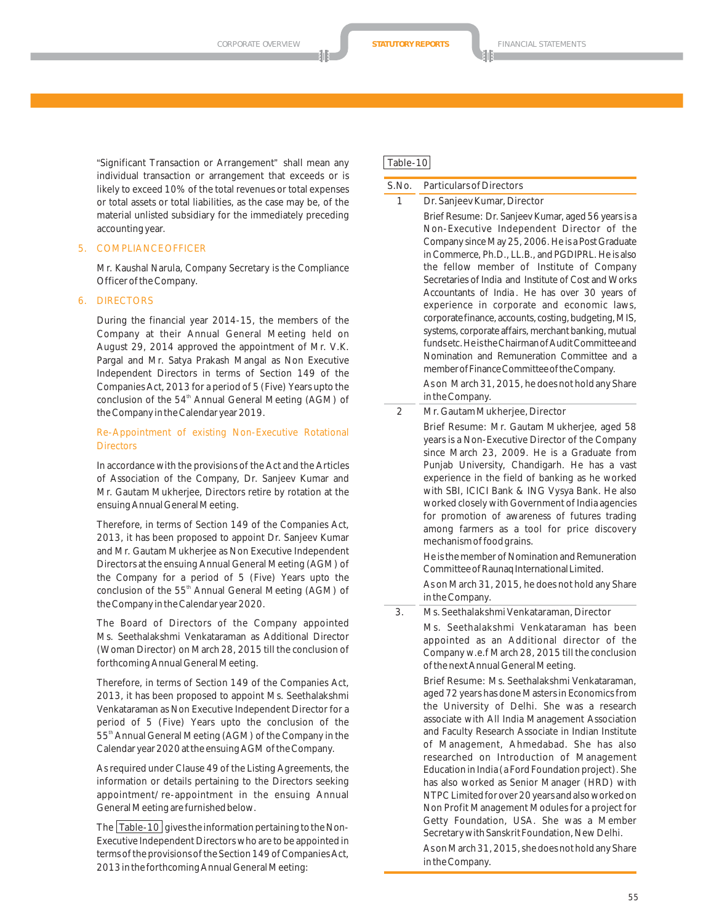"Significant Transaction or Arrangement" shall mean any individual transaction or arrangement that exceeds or is likely to exceed 10% of the total revenues or total expenses or total assets or total liabilities, as the case may be, of the material unlisted subsidiary for the immediately preceding accounting year.

### 5. COMPLIANCE OFFICER

Mr. Kaushal Narula, Company Secretary is the Compliance Officer of the Company.

#### 6. DIRECTORS

During the financial year 2014-15, the members of the Company at their Annual General Meeting held on August 29, 2014 approved the appointment of Mr. V.K. Pargal and Mr. Satya Prakash Mangal as Non Executive Independent Directors in terms of Section 149 of the Companies Act, 2013 for a period of 5 (Five) Years upto the conclusion of the 54<sup>th</sup> Annual General Meeting (AGM) of the Company in the Calendar year 2019.

#### Re-Appointment of existing Non-Executive Rotational **Directors**

In accordance with the provisions of the Act and the Articles of Association of the Company, Dr. Sanjeev Kumar and Mr. Gautam Mukherjee, Directors retire by rotation at the ensuing Annual General Meeting.

Therefore, in terms of Section 149 of the Companies Act, 2013, it has been proposed to appoint Dr. Sanjeev Kumar and Mr. Gautam Mukherjee as Non Executive Independent Directors at the ensuing Annual General Meeting (AGM) of the Company for a period of 5 (Five) Years upto the conclusion of the 55<sup>th</sup> Annual General Meeting (AGM) of the Company in the Calendar year 2020.

The Board of Directors of the Company appointed Ms. Seethalakshmi Venkataraman as Additional Director (Woman Director) on March 28, 2015 till the conclusion of forthcoming Annual General Meeting.

Therefore, in terms of Section 149 of the Companies Act, 2013, it has been proposed to appoint Ms. Seethalakshmi Venkataraman as Non Executive Independent Director for a period of 5 (Five) Years upto the conclusion of the 55<sup>th</sup> Annual General Meeting (AGM) of the Company in the Calendar year 2020 at the ensuing AGM of the Company.

As required under Clause 49 of the Listing Agreements, the information or details pertaining to the Directors seeking appointment/re-appointment in the ensuing Annual General Meeting are furnished below.

The  $\vert$  Table-10  $\vert$  gives the information pertaining to the Non-Executive Independent Directors who are to be appointed in terms of the provisions of the Section 149 of Companies Act, 2013 in the forthcoming Annual General Meeting:

#### Table-10

### S.No. Particulars of Directors

1 Dr. Sanjeev Kumar, Director Brief Resume: Dr. Sanjeev Kumar, aged 56 years is a Non-Executive Independent Director of the Company since May 25, 2006. He is a Post Graduate in Commerce, Ph.D., LL.B., and PGDIPRL. He is also the fellow member of Institute of Company Secretaries of India and Institute of Cost and Works Accountants of India . He has over 30 years of experience in corporate and economic laws, corporate finance, accounts, costing, budgeting, MIS, systems, corporate affairs, merchant banking, mutual fundsetc.HeistheChairmanofAuditCommitteeand Nomination and Remuneration Committee and a memberofFinanceCommitteeoftheCompany.

As on March 31, 2015, he does not hold any Share in the Company.

- 2 Mr. Gautam Mukherjee, Director
- Brief Resume: Mr. Gautam Mukherjee, aged 58 years is a Non-Executive Director of the Company since March 23, 2009. He is a Graduate from Punjab University, Chandigarh. He has a vast experience in the field of banking as he worked with SBI, ICICI Bank & ING Vysya Bank. He also worked closely with Government of India agencies for promotion of awareness of futures trading among farmers as a tool for price discovery mechanism of food grains.

He is the member of Nomination and Remuneration Committeeof Raunaq International Limited.

As on March 31, 2015, he does not hold any Share in the Company.

3. Ms. Seethalakshmi Venkataraman, Director

Ms. Seethalakshmi Venkataraman has been appointed as an Additional director of the Company w.e.f March 28, 2015 till the conclusion of the next Annual General Meeting.

Brief Resume: Ms. Seethalakshmi Venkataraman, aged 72 years has done Masters in Economics from the University of Delhi. She was a research associate with All India Management Association and Faculty Research Associate in Indian Institute of Management, Ahmedabad. She has also researched on Introduction of Management Education in India (a Ford Foundation project). She has also worked as Senior Manager (HRD) with NTPC Limited for over 20 years and also worked on Non Profit Management Modules for a project for Getty Foundation, USA. She was a Member Secretary with Sanskrit Foundation, New Delhi.

As on March 31, 2015, she does not hold any Share in the Company.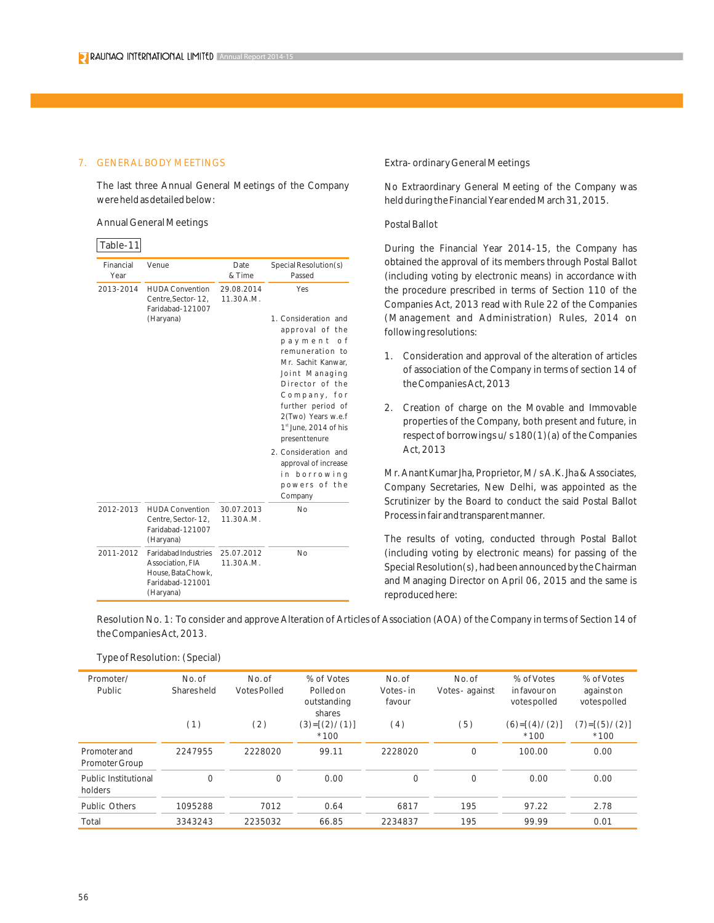#### 7. GENERAL BODY MEETINGS

The last three Annual General Meetings of the Company were held as detailed below:

Annual General Meetings

#### Table-11

| Financial<br>Year | Venue                                                                                                  | Date<br>& Time          | Special Resolution(s)<br>Passed                                                                                                                                                                    |
|-------------------|--------------------------------------------------------------------------------------------------------|-------------------------|----------------------------------------------------------------------------------------------------------------------------------------------------------------------------------------------------|
| 2013-2014         | <b>HUDA Convention</b><br>Centre, Sector-12,<br>Faridabad-121007<br>(Haryana)                          | 29.08.2014<br>11.30A.M. | Yes<br>1. Consideration and<br>approval of the                                                                                                                                                     |
|                   |                                                                                                        |                         | payment<br>o f<br>remuneration to<br>Mr. Sachit Kanwar.<br>Joint Managing<br>Director of the<br>Company, for<br>further period of<br>2(Two) Years w.e.f<br>1st June, 2014 of his<br>present tenure |
|                   |                                                                                                        |                         | 2. Consideration and<br>approval of increase<br>in borrowing<br>powers of the<br>Company                                                                                                           |
| 2012-2013         | <b>HUDA Convention</b><br>Centre, Sector-12,<br>Faridabad-121007<br>(Haryana)                          | 30.07.2013<br>11.30A.M. | No                                                                                                                                                                                                 |
| 2011-2012         | <b>Faridabad Industries</b><br>Association, FIA<br>House, Bata Chowk,<br>Faridabad-121001<br>(Haryana) | 25.07.2012<br>11.30A.M. | No                                                                                                                                                                                                 |

#### Extra- ordinary General Meetings

No Extraordinary General Meeting of the Company was held during the Financial Year ended March 31, 2015.

#### Postal Ballot

During the Financial Year 2014-15, the Company has obtained the approval of its members through Postal Ballot (including voting by electronic means) in accordance with the procedure prescribed in terms of Section 110 of the Companies Act, 2013 read with Rule 22 of the Companies (Management and Administration) Rules, 2014 on following resolutions:

- 1. Consideration and approval of the alteration of articles of association of the Company in terms of section 14 of the Companies Act, 2013
- 2. Creation of charge on the Movable and Immovable properties of the Company, both present and future, in respect of borrowings u/s 180(1)(a) of the Companies Act, 2013

Mr. Anant Kumar Jha, Proprietor, M/s A.K. Jha & Associates, Company Secretaries, New Delhi, was appointed as the Scrutinizer by the Board to conduct the said Postal Ballot Process in fair and transparent manner.

The results of voting, conducted through Postal Ballot (including voting by electronic means) for passing of the Special Resolution(s), had been announced by the Chairman and Managing Director on April 06, 2015 and the same is reproduced here:

Resolution No. 1: To consider and approve Alteration of Articles of Association (AOA) of the Company in terms of Section 14 of the Companies Act, 2013.

| Promoter/<br>Public             | No. of<br>Shares held | No. of<br>Votes Polled | % of Votes<br>Polledon<br>outstanding<br>shares | No. of<br>Votes - in<br>favour | No. of<br>Votes - against | % of Votes<br>in favour on<br>votes polled | % of Votes<br>against on<br>votes polled |
|---------------------------------|-----------------------|------------------------|-------------------------------------------------|--------------------------------|---------------------------|--------------------------------------------|------------------------------------------|
|                                 | (1)                   | (2)                    | $(3)=[(2)/(1)]$<br>$*100$                       | (4)                            | (5)                       | $(6)=[(4)/(2)]$<br>$*100$                  | $(7)=[(5)/(2)]$<br>$*100$                |
| Promoter and<br>Promoter Group  | 2247955               | 2228020                | 99.11                                           | 2228020                        | $\Omega$                  | 100.00                                     | 0.00                                     |
| Public Institutional<br>holders | $\Omega$              | $\Omega$               | 0.00                                            | $\Omega$                       | $\Omega$                  | 0.00                                       | 0.00                                     |
| Public Others                   | 1095288               | 7012                   | 0.64                                            | 6817                           | 195                       | 97.22                                      | 2.78                                     |
| Total                           | 3343243               | 2235032                | 66.85                                           | 2234837                        | 195                       | 99.99                                      | 0.01                                     |

Type of Resolution: (Special)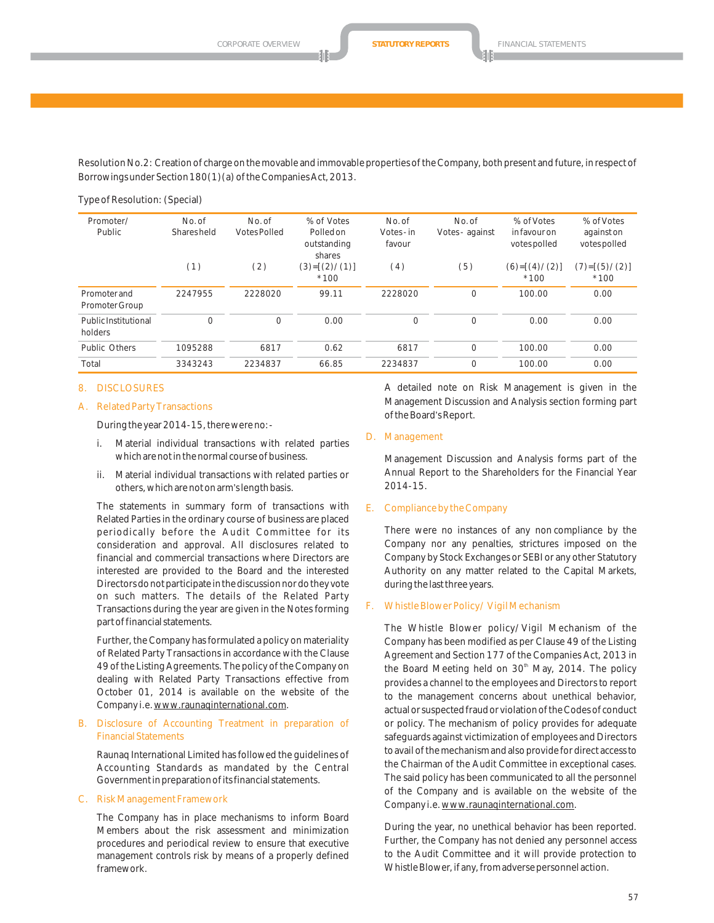Resolution No.2: Creation of charge on the movable and immovable properties of the Company, both present and future, in respect of Borrowings under Section 180(1)(a) of the Companies Act, 2013.

Type of Resolution: (Special)

| Promoter/<br>Public             | No. of<br>Shares held | No. of<br><b>Votes Polled</b> | % of Votes<br>Polledon<br>outstanding<br>shares | No. of<br>Votes-in<br>favour | No. of<br>Votes - against | % of Votes<br>in favour on<br>votes polled | % of Votes<br>againston<br>votes polled |
|---------------------------------|-----------------------|-------------------------------|-------------------------------------------------|------------------------------|---------------------------|--------------------------------------------|-----------------------------------------|
|                                 | (1)                   | (2)                           | $(3)=[(2)/(1)]$<br>$*100$                       | (4)                          | (5)                       | $(6)=[(4)/(2)]$<br>$*100$                  | $(7)=[(5)/(2)]$<br>$*100$               |
| Promoter and<br>Promoter Group  | 2247955               | 2228020                       | 99.11                                           | 2228020                      | $\Omega$                  | 100.00                                     | 0.00                                    |
| Public Institutional<br>holders | $\Omega$              | $\Omega$                      | 0.00                                            | 0                            | $\Omega$                  | 0.00                                       | 0.00                                    |
| Public Others                   | 1095288               | 6817                          | 0.62                                            | 6817                         | 0                         | 100.00                                     | 0.00                                    |
| Total                           | 3343243               | 2234837                       | 66.85                                           | 2234837                      | $\Omega$                  | 100.00                                     | 0.00                                    |

#### 8. DISCLOSURES

#### A. Related Party Transactions

During the year 2014-15, there were no:-

- i. Material individual transactions with related parties which are not in the normal course of business.
- ii. Material individual transactions with related parties or others, which are not on arm's length basis.

The statements in summary form of transactions with Related Parties in the ordinary course of business are placed periodically before the Audit Committee for its consideration and approval. All disclosures related to financial and commercial transactions where Directors are interested are provided to the Board and the interested Directors do not participate in the discussion nor do they vote on such matters. The details of the Related Party Transactions during the year are given in the Notes forming part of financial statements.

Further, the Company has formulated a policy on materiality of Related Party Transactions in accordance with the Clause 49 of the Listing Agreements. The policy of the Company on dealing with Related Party Transactions effective from October 01, 2014 is available on the website of the Company i.e. www.raunaqinternational.com.

#### B. Disclosure of Accounting Treatment in preparation of Financial Statements

Raunaq International Limited has followed the guidelines of Accounting Standards as mandated by the Central Government in preparation of its financial statements.

#### C. Risk Management Framework

The Company has in place mechanisms to inform Board Members about the risk assessment and minimization procedures and periodical review to ensure that executive management controls risk by means of a properly defined framework.

A detailed note on Risk Management is given in the Management Discussion and Analysis section forming part of the Board's Report.

#### D. Management

Management Discussion and Analysis forms part of the Annual Report to the Shareholders for the Financial Year 2014-15.

#### E. Compliance by the Company

There were no instances of any non compliance by the Company nor any penalties, strictures imposed on the Company by Stock Exchanges or SEBI or any other Statutory Authority on any matter related to the Capital Markets, during the last three years.

#### F. Whistle Blower Policy/ Vigil Mechanism

The Whistle Blower policy/Vigil Mechanism of the Company has been modified as per Clause 49 of the Listing Agreement and Section 177 of the Companies Act, 2013 in the Board Meeting held on 30<sup>th</sup> May, 2014. The policy provides a channel to the employees and Directors to report to the management concerns about unethical behavior, actual or suspected fraud or violation of the Codes of conduct or policy. The mechanism of policy provides for adequate safeguards against victimization of employees and Directors to avail of the mechanism and also provide for direct access to the Chairman of the Audit Committee in exceptional cases. The said policy has been communicated to all the personnel of the Company and is available on the website of the Company i.e. www.raunaqinternational.com.

During the year, no unethical behavior has been reported. Further, the Company has not denied any personnel access to the Audit Committee and it will provide protection to Whistle Blower, if any, from adverse personnel action.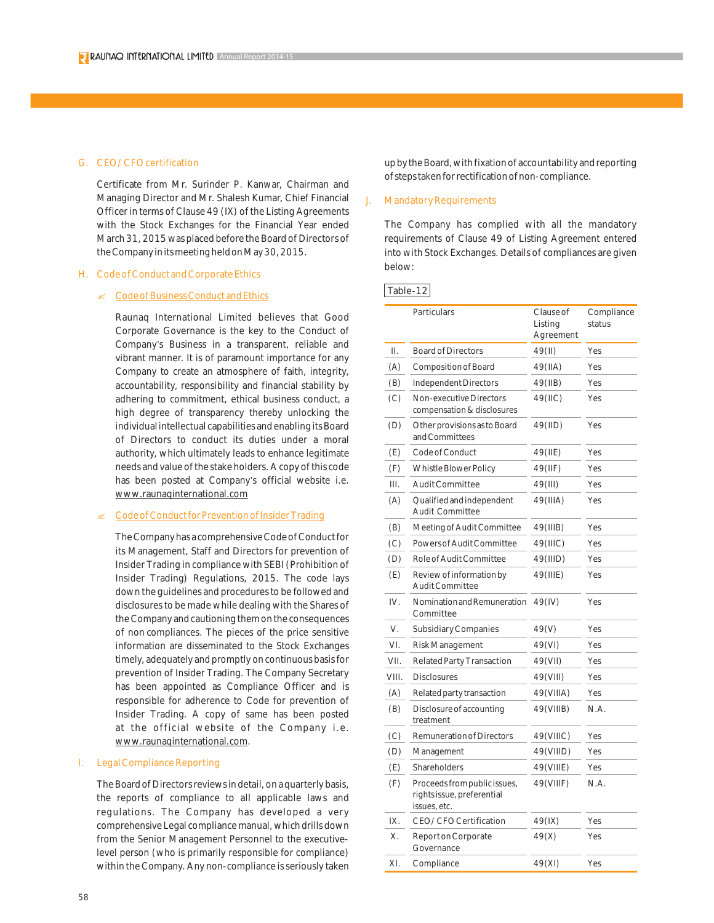## G. CEO/CFO certification

Certificate from Mr. Surinder P. Kanwar, Chairman and Managing Director and Mr. Shalesh Kumar, Chief Financial Officer in terms of Clause 49 (IX) of the Listing Agreements with the Stock Exchanges for the Financial Year ended March 31, 2015 was placed before the Board of Directors of the Company in its meeting held on May 30, 2015.

## H. Code of Conduct and Corporate Ethics

## **Ex Code of Business Conduct and Ethics**

Raunaq International Limited believes that Good Corporate Governance is the key to the Conduct of Company's Business in a transparent, reliable and vibrant manner. It is of paramount importance for any Company to create an atmosphere of faith, integrity, accountability, responsibility and financial stability by adhering to commitment, ethical business conduct, a high degree of transparency thereby unlocking the individual intellectual capabilities and enabling its Board of Directors to conduct its duties under a moral authority, which ultimately leads to enhance legitimate needs and value of the stake holders. A copy of this code has been posted at Company's official website i.e. www.raunaqinternational.com

## Code of Conduct for Prevention of Insider Trading

The Company has a comprehensive Code of Conduct for its Management, Staff and Directors for prevention of Insider Trading in compliance with SEBI (Prohibition of Insider Trading) Regulations, 2015. The code lays down the guidelines and procedures to be followed and disclosures to be made while dealing with the Shares of the Company and cautioning them on the consequences of non compliances. The pieces of the price sensitive information are disseminated to the Stock Exchanges timely, adequately and promptly on continuous basis for prevention of Insider Trading. The Company Secretary has been appointed as Compliance Officer and is responsible for adherence to Code for prevention of Insider Trading. A copy of same has been posted at the official website of the Company i.e. www.raunaqinternational.com.

## I. Legal Compliance Reporting

The Board of Directors reviews in detail, on a quarterly basis, the reports of compliance to all applicable laws and regulations. The Company has developed a very comprehensive Legal compliance manual, which drills down from the Senior Management Personnel to the executivelevel person (who is primarily responsible for compliance) within the Company. Any non-compliance is seriously taken up by the Board, with fixation of accountability and reporting of steps taken for rectification of non-compliance.

#### **Mandatory Requirements**

The Company has complied with all the mandatory requirements of Clause 49 of Listing Agreement entered into with Stock Exchanges. Details of compliances are given below:

#### Table-12

|       | Particulars                                                                | Clause of<br>Listing<br>Agreement | Compliance<br>status |
|-------|----------------------------------------------------------------------------|-----------------------------------|----------------------|
| Η.    | <b>Board of Directors</b>                                                  | 49(II)                            | Yes                  |
| (A)   | Composition of Board                                                       | 49(IIA)                           | Yes                  |
| (B)   | Independent Directors                                                      | 49(IIB)                           | Yes                  |
| (C)   | Non-executive Directors<br>compensation & disclosures                      | 49(IIC)                           | Yes                  |
| (D)   | Other provisions as to Board<br>and Committees                             | 49(IID)                           | Yes                  |
| (E)   | Code of Conduct                                                            | 49(IIE)                           | Yes                  |
| (F)   | Whistle Blower Policy                                                      | 49(IIF)                           | Yes                  |
| III.  | Audit Committee                                                            | 49(III)                           | Yes                  |
| (A)   | Qualified and independent<br><b>Audit Committee</b>                        | 49(IIIA)                          | Yes                  |
| (B)   | Meeting of Audit Committee                                                 | 49(IIIB)                          | Yes                  |
| (C)   | Powers of Audit Committee                                                  | 49(IIIC)                          | Yes                  |
| (D)   | Role of Audit Committee                                                    | 49(IIID)                          | Yes                  |
| (E)   | Review of information by<br><b>Audit Committee</b>                         | 49(IIIE)                          | Yes                  |
| IV.   | Nomination and Remuneration<br>Committee                                   | 49(IV)                            | Yes                  |
| V.    | <b>Subsidiary Companies</b>                                                | 49(V)                             | Yes                  |
| VI.   | Risk Management                                                            | 49(VI)                            | Yes                  |
| VII.  | Related Party Transaction                                                  | 49(VII)                           | Yes                  |
| VIII. | <b>Disclosures</b>                                                         | 49(VIII)                          | Yes                  |
| (A)   | Related party transaction                                                  | 49(VIIIA)                         | Yes                  |
| (B)   | Disclosure of accounting<br>treatment                                      | 49(VIIIB)                         | N.A.                 |
| (C)   | <b>Remuneration of Directors</b>                                           | 49(VIIIC)                         | Yes                  |
| (D)   | Management                                                                 | 49(VIIID)                         | Yes                  |
| (E)   | Shareholders                                                               | 49(VIIIE)                         | Yes                  |
| (F)   | Proceeds from public issues,<br>rights issue, preferential<br>issues, etc. | 49(VIIIF)                         | N.A.                 |
| IX.   | CEO/CFO Certification                                                      | 49(IX)                            | Yes                  |
| Χ.    | Report on Corporate<br>Governance                                          | 49(X)                             | Yes                  |
| XI.   | Compliance                                                                 | 49(XI)                            | Yes                  |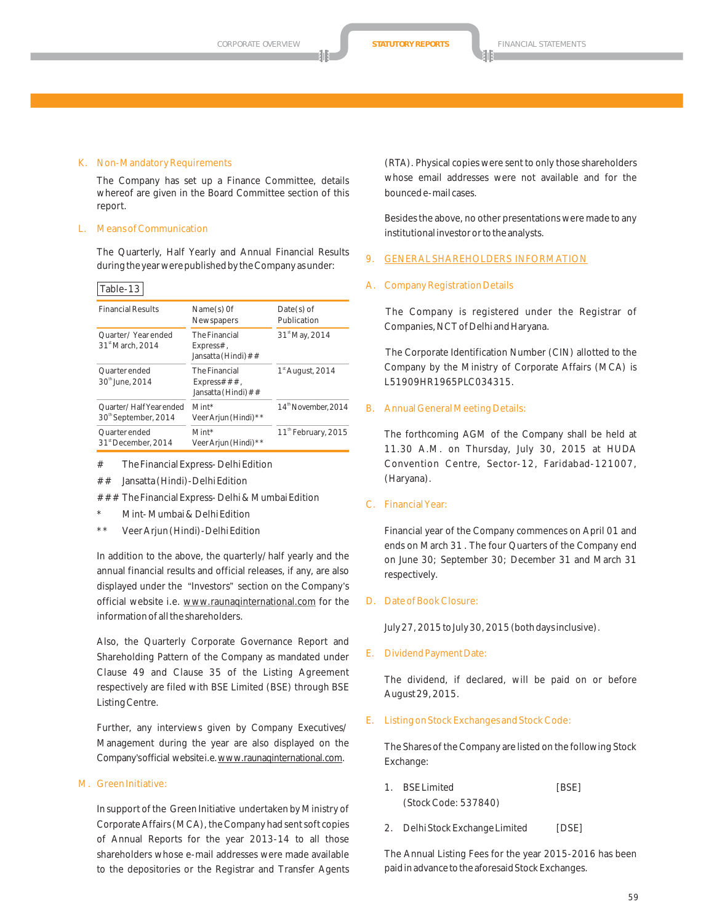#### K. Non-Mandatory Requirements

The Company has set up a Finance Committee, details whereof are given in the Board Committee section of this report.

#### L. Means of Communication

The Quarterly, Half Yearly and Annual Financial Results during the year were published by the Company as under:

#### Table-13

| <b>Financial Results</b>                                    | Name(s) Of<br>Newspapers                                   | $Date(s)$ of<br>Publication     |
|-------------------------------------------------------------|------------------------------------------------------------|---------------------------------|
| Ouarter/Year ended<br>31 <sup>st</sup> March, 2014          | <b>The Financial</b><br>$Express#$ ,<br>Jansatta (Hindi)## | 31 <sup>st</sup> May, 2014      |
| <b>Ouarter</b> ended<br>30th June, 2014                     | <b>The Financial</b><br>Express###,<br>Jansatta (Hindi)##  | $1st$ August, 2014              |
| Ouarter/Half Year ended<br>30 <sup>th</sup> September, 2014 | $Mint*$<br>Veer Arjun (Hindi) * *                          | 14 <sup>th</sup> November, 2014 |
| Ouarter ended<br>31 <sup>st</sup> December, 2014            | $Mint*$<br>Veer Arjun (Hindi) * *                          | 11 <sup>th</sup> February, 2015 |

# The Financial Express- Delhi Edition

## Jansatta (Hindi)-Delhi Edition

### The Financial Express- Delhi & Mumbai Edition

- Mint- Mumbai & Delhi Edition
- Veer Arjun (Hindi) Delhi Edition

In addition to the above, the quarterly/half yearly and the annual financial results and official releases, if any, are also displayed under the "Investors" section on the Company's official website i.e. www.raunaqinternational.com for the information of all the shareholders.

Also, the Quarterly Corporate Governance Report and Shareholding Pattern of the Company as mandated under Clause 49 and Clause 35 of the Listing Agreement respectively are filed with BSE Limited (BSE) through BSE Listing Centre.

Further, any interviews given by Company Executives/ Management during the year are also displayed on the Company's official website i.e. www.raunaqinternational.com.

#### M. Green Initiative:

In support of the Green Initiative undertaken by Ministry of Corporate Affairs (MCA), the Company had sent soft copies of Annual Reports for the year 2013-14 to all those shareholders whose e-mail addresses were made available to the depositories or the Registrar and Transfer Agents

(RTA). Physical copies were sent to only those shareholders whose email addresses were not available and for the bounced e-mail cases.

Besides the above, no other presentations were made to any institutional investor or to the analysts.

#### 9. GENERAL SHAREHOLDERS INFORMATION

#### **Company Registration Details**

The Company is registered under the Registrar of Companies, NCT of Delhi and Haryana.

The Corporate Identification Number (CIN) allotted to the Company by the Ministry of Corporate Affairs (MCA) is L51909HR1965PLC034315.

#### B. Annual General Meeting Details:

The forthcoming AGM of the Company shall be held at 11.30 A.M. on Thursday, July 30, 2015 at HUDA Convention Centre, Sector-12, Faridabad-121007, (Haryana).

C. Financial Year:

Financial year of the Company commences on April 01 and ends on March 31 . The four Quarters of the Company end on June 30; September 30; December 31 and March 31 respectively.

#### D. Date of Book Closure:

July 27, 2015 to July 30, 2015 (both days inclusive).

E. Dividend Payment Date:

The dividend, if declared, will be paid on or before August 29, 2015.

E. Listing on Stock Exchanges and Stock Code:

The Shares of the Company are listed on the following Stock Exchange:

- 1. BSE Limited [BSE] (Stock Code: 537840)
- 2. Delhi Stock Exchange Limited [DSE]

The Annual Listing Fees for the year 2015-2016 has been paid in advance to the aforesaid Stock Exchanges.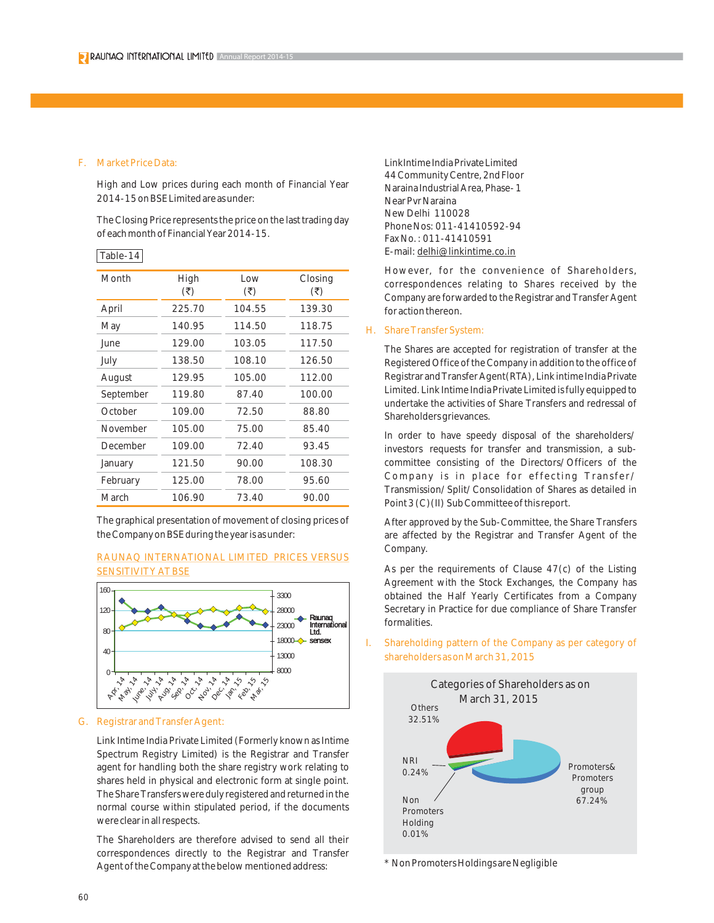#### F. Market Price Data:

Table-14

High and Low prices during each month of Financial Year 2014-15 on BSE Limited are as under:

The Closing Price represents the price on the last trading day of each month of Financial Year 2014-15.

| Month     | High<br>(₹) | Low<br>$(\overline{\mathbf{z}})$ | Closing<br>(₹) |
|-----------|-------------|----------------------------------|----------------|
| April     | 225.70      | 104.55                           | 139.30         |
| May       | 140.95      | 114.50                           | 118.75         |
| lune.     | 129.00      | 103.05                           | 117.50         |
| July      | 138.50      | 108.10                           | 126.50         |
| August    | 129.95      | 105.00                           | 112.00         |
| September | 119.80      | 87.40                            | 100.00         |
| October   | 109.00      | 72.50                            | 88.80          |
| November  | 105.00      | 75.00                            | 85.40          |
| December  | 109.00      | 72.40                            | 93.45          |
| January   | 121.50      | 90.00                            | 108.30         |
| February  | 125.00      | 78.00                            | 95.60          |
| March     | 106.90      | 73.40                            | 90.00          |

The graphical presentation of movement of closing prices of the Company on BSE during the year is as under:

## RAUNAQ INTERNATIONAL LIMITED PRICES VERSUS SENSITIVITY AT BSE



#### G. Registrar and Transfer Agent:

Link Intime India Private Limited (Formerly known as Intime Spectrum Registry Limited) is the Registrar and Transfer agent for handling both the share registry work relating to shares held in physical and electronic form at single point. The Share Transfers were duly registered and returned in the normal course within stipulated period, if the documents were clear in all respects.

The Shareholders are therefore advised to send all their correspondences directly to the Registrar and Transfer Agent of the Company at the below mentioned address:

LinkIntime India Private Limited 44 Community Centre, 2nd Floor Naraina Industrial Area, Phase- 1 Near Pvr Naraina New Delhi 110028 Phone Nos: 011-41410592-94 Fax No. : 011-41410591 E-mail: delhi@linkintime.co.in

However, for the convenience of Shareholders, correspondences relating to Shares received by the Company are forwarded to the Registrar and Transfer Agent for action thereon.

#### H. Share Transfer System:

The Shares are accepted for registration of transfer at the Registered Office of the Company in addition to the office of Registrar and Transfer Agent(RTA), Link intime India Private Limited. Link Intime India Private Limited is fully equipped to undertake the activities of Share Transfers and redressal of Shareholders grievances.

In order to have speedy disposal of the shareholders/ investors requests for transfer and transmission, a subcommittee consisting of the Directors/Officers of the Company is in place for effecting Transfer/ Transmission/Split/Consolidation of Shares as detailed in Point 3 (C) (II) Sub Committee of this report.

After approved by the Sub-Committee, the Share Transfers are affected by the Registrar and Transfer Agent of the Company.

As per the requirements of Clause 47(c) of the Listing Agreement with the Stock Exchanges, the Company has obtained the Half Yearly Certificates from a Company Secretary in Practice for due compliance of Share Transfer formalities.

I. Shareholding pattern of the Company as per category of shareholders as on March 31, 2015



\* Non Promoters Holdings are Negligible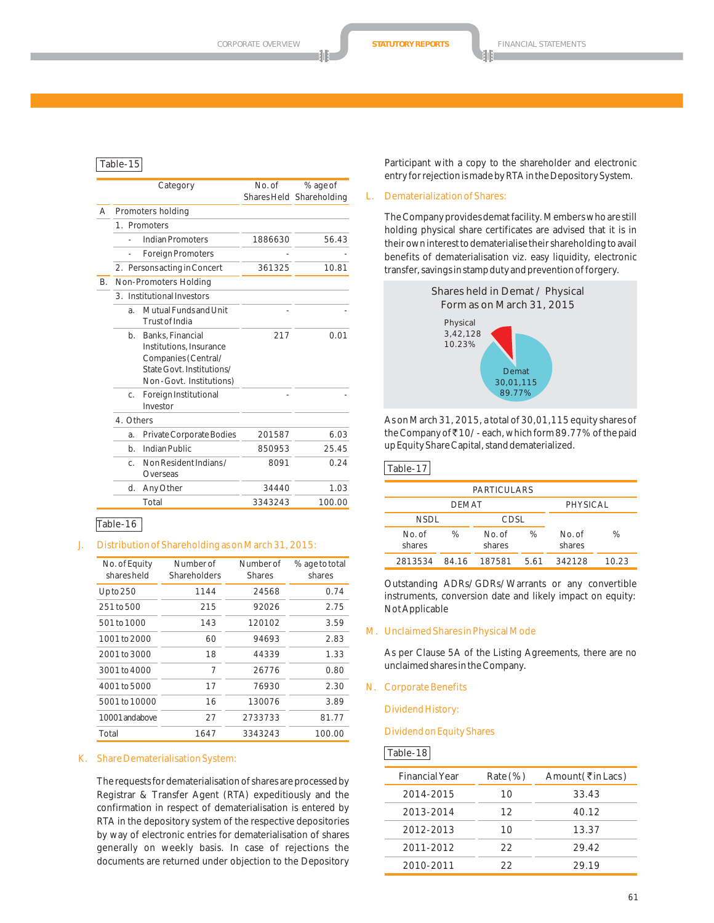#### Table-15

|           |           | Category                                                                                                                   | No. of  | % age of                 |
|-----------|-----------|----------------------------------------------------------------------------------------------------------------------------|---------|--------------------------|
|           |           |                                                                                                                            |         | Shares Held Shareholding |
| A         |           | Promoters holding                                                                                                          |         |                          |
|           |           | 1. Promoters                                                                                                               |         |                          |
|           |           | Indian Promoters                                                                                                           | 1886630 | 56.43                    |
|           | ä,        | <b>Foreign Promoters</b>                                                                                                   |         |                          |
|           |           | 2. Persons acting in Concert                                                                                               | 361325  | 10.81                    |
| <b>B.</b> |           | Non-Promoters Holding                                                                                                      |         |                          |
|           |           | 3. Institutional Investors                                                                                                 |         |                          |
|           | a.        | Mutual Funds and Unit<br>Trust of India                                                                                    |         |                          |
|           | b.        | Banks, Financial<br>Institutions, Insurance<br>Companies (Central/<br>State Govt, Institutions/<br>Non-Govt. Institutions) | 217     | 0.01                     |
|           | C.        | Foreign Institutional<br>Investor                                                                                          |         |                          |
|           | 4. Others |                                                                                                                            |         |                          |
|           | a.        | Private Corporate Bodies                                                                                                   | 201587  | 6.03                     |
|           | $b$ .     | Indian Public                                                                                                              | 850953  | 25.45                    |
|           | C.        | Non Resident Indians /<br>Overseas                                                                                         | 8091    | 0.24                     |
|           | d.        | Any Other                                                                                                                  | 34440   | 1.03                     |
|           |           | Total                                                                                                                      | 3343243 | 100.00                   |

#### Table-16

#### J. Distribution of Shareholding as on March 31, 2015:

| No. of Equity<br>sharesheld | Number of<br>Shareholders | Number of<br><b>Shares</b> | % age to total<br>shares |
|-----------------------------|---------------------------|----------------------------|--------------------------|
| $Up$ to $250$               | 1144                      | 24568                      | 0.74                     |
| 251 to 500                  | 215                       | 92026                      | 2.75                     |
| 501 to 1000                 | 143                       | 120102                     | 3.59                     |
| 1001 to 2000                | 60                        | 94693                      | 2.83                     |
| 2001 to 3000                | 18                        | 44339                      | 1.33                     |
| 3001 to 4000                | 7                         | 26776                      | 0.80                     |
| 4001 to 5000                | 17                        | 76930                      | 2.30                     |
| 5001 to 10000               | 16                        | 130076                     | 3.89                     |
| 10001 and above             | 27                        | 2733733                    | 81.77                    |
| Total                       | 1647                      | 3343243                    | 100.00                   |

#### K. Share Dematerialisation System:

The requests for dematerialisation of shares are processed by Registrar & Transfer Agent (RTA) expeditiously and the confirmation in respect of dematerialisation is entered by RTA in the depository system of the respective depositories by way of electronic entries for dematerialisation of shares generally on weekly basis. In case of rejections the documents are returned under objection to the Depository

Participant with a copy to the shareholder and electronic entry for rejection is made by RTA in the Depository System.

#### L. Dematerialization of Shares:

The Company provides demat facility. Members who are still holding physical share certificates are advised that it is in their own interest to dematerialise their shareholding to avail benefits of dematerialisation viz. easy liquidity, electronic transfer, savings in stamp duty and prevention of forgery.



As on March 31, 2015, a total of 30,01,115 equity shares of the Company of ₹10/- each, which form 89.77% of the paid up Equity Share Capital, stand dematerialized.

#### Table-17

| <b>PARTICULARS</b> |       |                 |      |                 |       |
|--------------------|-------|-----------------|------|-----------------|-------|
| <b>DEMAT</b>       |       |                 |      | PHYSICAL        |       |
| <b>NSDL</b>        |       | CDSL            |      |                 |       |
| No of<br>shares    | %     | No of<br>shares | ℅    | No of<br>shares | %     |
| 2813534            | 84 16 | 187581          | 5.61 | 342128          | 10.23 |

Outstanding ADRs/GDRs/Warrants or any convertible instruments, conversion date and likely impact on equity: Not Applicable

M. Unclaimed Shares in Physical Mode

As per Clause 5A of the Listing Agreements, there are no unclaimed shares in the Company.

N. Corporate Benefits

Dividend History:

#### Dividend on Equity Shares

#### Table-18

| <b>Financial Year</b> | $Rate (\%)$ | Amount (₹in Lacs) |
|-----------------------|-------------|-------------------|
| 2014-2015             | 10          | 33.43             |
| 2013-2014             | 12          | 40.12             |
| 2012-2013             | 10          | 13.37             |
| 2011-2012             | 22          | 29.42             |
| 2010-2011             | フフ          | 29.19             |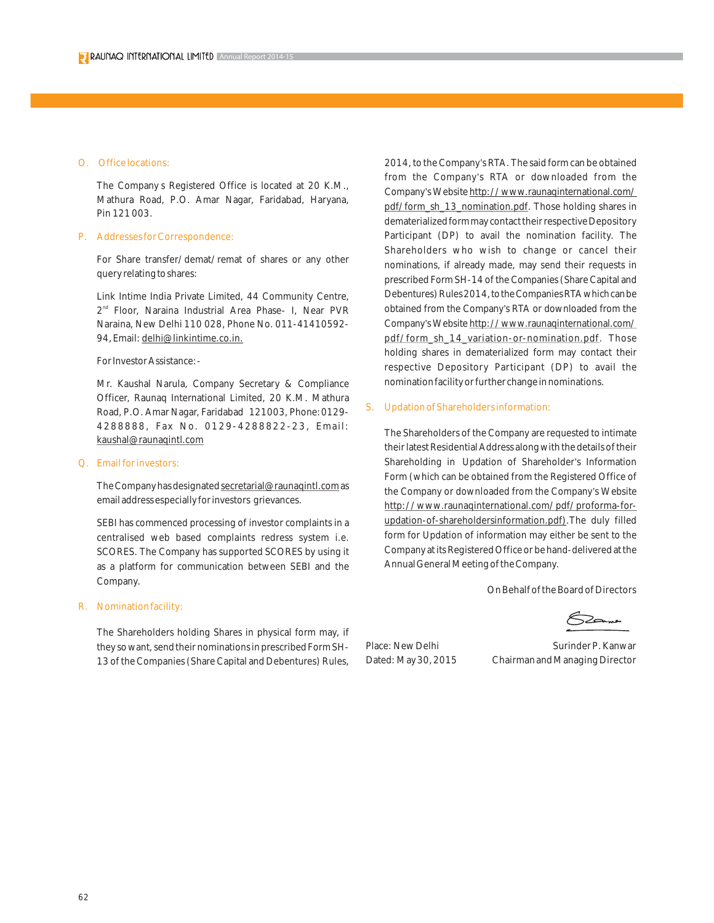#### O. Office locations:

The Company s Registered Office is located at 20 K.M., Mathura Road, P.O. Amar Nagar, Faridabad, Haryana, Pin 121 003.

#### P. Addresses for Correspondence:

For Share transfer/demat/remat of shares or any other query relating to shares:

Link Intime India Private Limited, 44 Community Centre, 2<sup>nd</sup> Floor, Naraina Industrial Area Phase- I, Near PVR Naraina, New Delhi 110 028, Phone No. 011-41410592- 94, Email: delhi@linkintime.co.in.

#### For Investor Assistance:-

Mr. Kaushal Narula, Company Secretary & Compliance Officer, Raunaq International Limited, 20 K.M. Mathura Road, P.O. Amar Nagar, Faridabad 121003, Phone:0129- 4288888, Fax No. 0129-4288822-23, Email: kaushal@raunaqintl.com

#### Q. Email for investors:

The Company has designated secretarial@raunaqintl.com as email address especially for investors grievances.

SEBI has commenced processing of investor complaints in a centralised web based complaints redress system i.e. SCORES. The Company has supported SCORES by using it as a platform for communication between SEBI and the Company.

#### R. Nomination facility:

The Shareholders holding Shares in physical form may, if they so want, send their nominations in prescribed Form SH-13 of the Companies (Share Capital and Debentures) Rules,

2014, to the Company's RTA. The said form can be obtained from the Company's RTA or downloaded from the Company's Website http://www.raunaqinternational.com/ pdf/form\_sh\_13\_nomination.pdf. Those holding shares in dematerialized form may contact their respective Depository Participant (DP) to avail the nomination facility. The Shareholders who wish to change or cancel their nominations, if already made, may send their requests in prescribed Form SH-14 of the Companies (Share Capital and Debentures) Rules 2014, to the Companies RTA which can be obtained from the Company's RTA or downloaded from the Company's Website http://www.raunaqinternational.com/ pdf/form\_sh\_14\_variation-or-nomination.pdf. Those holding shares in dematerialized form may contact their respective Depository Participant (DP) to avail the nomination facility or further change in nominations.

#### S. Updation of Shareholders information:

The Shareholders of the Company are requested to intimate their latest Residential Address along with the details of their Shareholding in Updation of Shareholder's Information Form (which can be obtained from the Registered Office of the Company or downloaded from the Company's Website http://www.raunaqinternational.com/pdf/proforma-forupdation-of-shareholdersinformation.pdf).The duly filled form for Updation of information may either be sent to the Company at its Registered Office or be hand-delivered at the Annual General Meeting of the Company.

On Behalf of the Board of Directors

Place: New Delhi Surinder P. Kanwar Dated: May 30, 2015 Chairman and Managing Director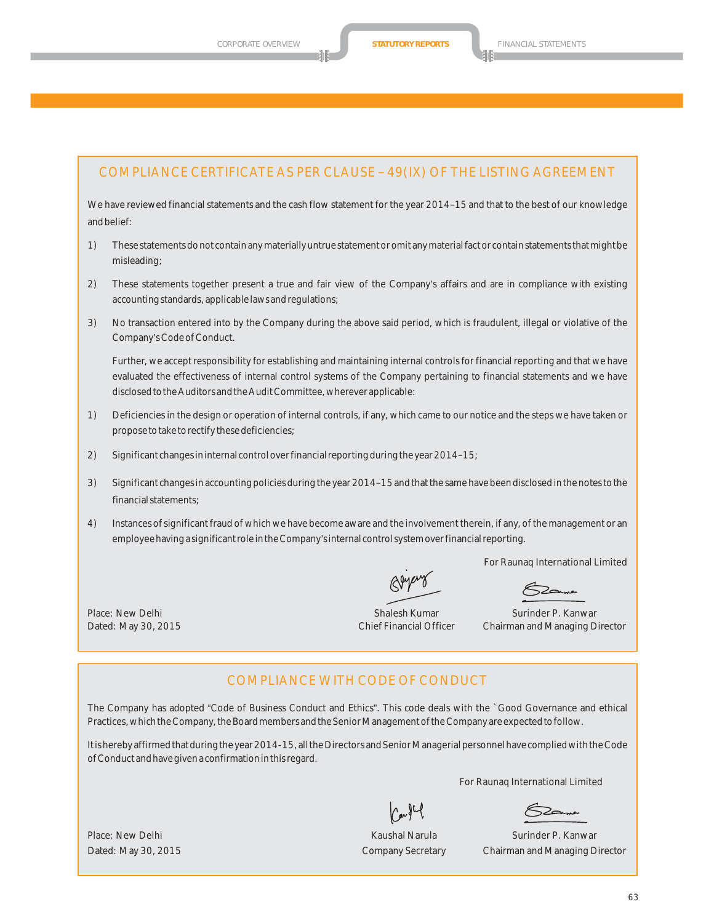## COMPLIANCE CERTIFICATE AS PER CLAUSE – 49(IX) OF THE LISTING AGREEMENT

We have reviewed financial statements and the cash flow statement for the year 2014–15 and that to the best of our knowledge and belief:

- 1) These statements do not contain any materially untrue statement or omit any material fact or contain statements that might be misleading;
- 2) These statements together present a true and fair view of the Company's affairs and are in compliance with existing accounting standards, applicable laws and regulations;
- 3) No transaction entered into by the Company during the above said period, which is fraudulent, illegal or violative of the Company's Code of Conduct.

Further, we accept responsibility for establishing and maintaining internal controls for financial reporting and that we have evaluated the effectiveness of internal control systems of the Company pertaining to financial statements and we have disclosed to the Auditors and the Audit Committee, wherever applicable:

- 1) Deficiencies in the design or operation of internal controls, if any, which came to our notice and the steps we have taken or propose to take to rectify these deficiencies;
- 2) Significant changes in internal control over financial reporting during the year 2014–15;
- 3) Significant changes in accounting policies during the year 2014–15 and that the same have been disclosed in the notes to the financial statements;
- 4) Instances of significant fraud of which we have become aware and the involvement therein, if any, of the management or an employee having a significant role in the Company's internal control system over financial reporting.

For Raunaq International Limited

Place: New Delhi Shalesh Kumar Shalesh Kumar Surinder P. Kanwar Surinder P. Kanwar Dated: May 30, 2015 Chief Financial Officer Chairman and Managing Director

## COMPLIANCE WITH CODE OF CONDUCT

The Company has adopted "Code of Business Conduct and Ethics". This code deals with the `Good Governance and ethical Practices, which the Company, the Board members and the Senior Management of the Company are expected to follow.

It is hereby affirmed that during the year 2014-15, all the Directors and Senior Managerial personnel have complied with the Code of Conduct and have given a confirmation in this regard.

For Raunaq International Limited

Place: New Delhi Narula Surinder P. Kanwar Narula Surinder P. Kanwar Surinder P. Kanwar Dated: May 30, 2015 Company Secretary Chairman and Managing Director